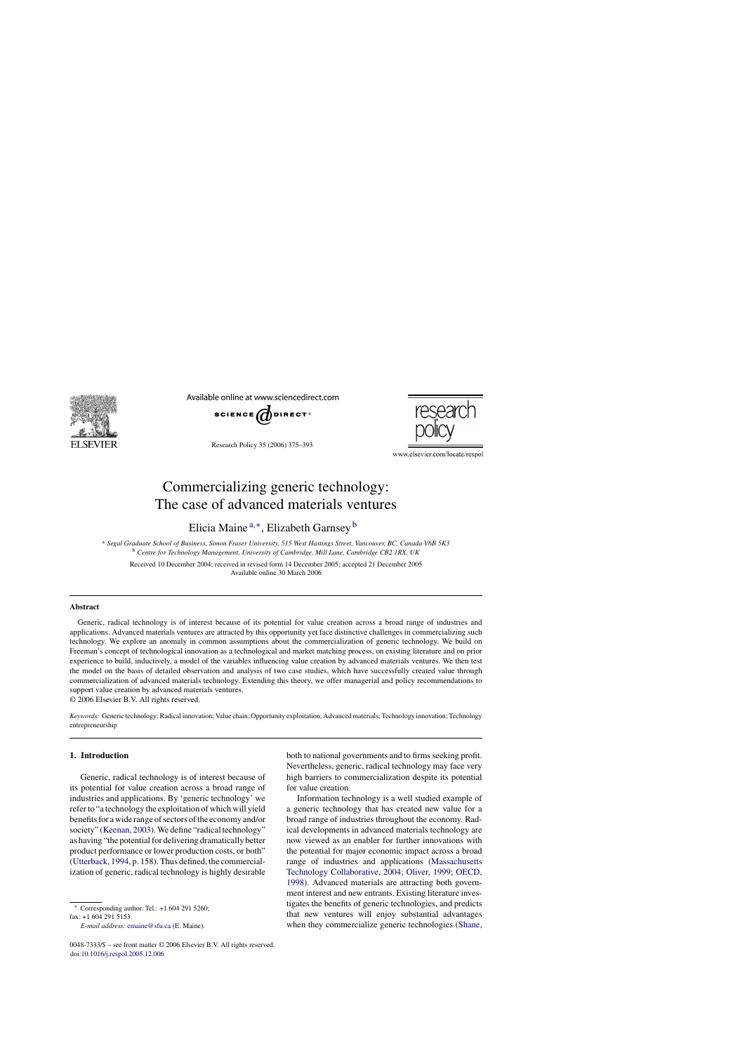

Available online at www.sciencedirect.com



Research Policy 35 (2006) 375–393



www.elsevier.com/locate/respol

# Commercializing generic technology: The case of advanced materials ventures

Elicia Maine <sup>a</sup>,∗, Elizabeth Garnsey <sup>b</sup>

<sup>a</sup> *Segal Graduate School of Business, Simon Fraser University, 515 West Hastings Street, Vancouver, BC, Canada V6B 5K3* <sup>b</sup> *Centre for Technology Management, University of Cambridge, Mill Lane, Cambridge CB2 1RX, UK*

Received 10 December 2004; received in revised form 14 December 2005; accepted 21 December 2005 Available online 30 March 2006

#### **Abstract**

Generic, radical technology is of interest because of its potential for value creation across a broad range of industries and applications. Advanced materials ventures are attracted by this opportunity yet face distinctive challenges in commercializing such technology. We explore an anomaly in common assumptions about the commercialization of generic technology. We build on Freeman's concept of technological innovation as a technological and market matching process, on existing literature and on prior experience to build, inductively, a model of the variables influencing value creation by advanced materials ventures. We then test the model on the basis of detailed observation and analysis of two case studies, which have successfully created value through commercialization of advanced materials technology. Extending this theory, we offer managerial and policy recommendations to support value creation by advanced materials ventures.

© 2006 Elsevier B.V. All rights reserved.

*Keywords:* Generic technology; Radical innovation; Value chain; Opportunity exploitation; Advanced materials; Technology innovation; Technology entrepreneurship

# **1. Introduction**

Generic, radical technology is of interest because of its potential for value creation across a broad range of industries and applications. By 'generic technology' we refer to "a technology the exploitation of which will yield benefits for a wide range of sectors of the economy and/or society" [\(Keenan, 2003\).](#page-18-0) We define "radical technology" as having "the potential for delivering dramatically better product performance or lower production costs, or both" [\(Utterback, 1994, p](#page-18-0). 158). Thus defined, the commercialization of generic, radical technology is highly desirable

∗ Corresponding author. Tel.: +1 604 291 5260; fax: +1 604 291 5153.

*E-mail address:* [emaine@sfu.ca](mailto:emaine@sfu.ca) (E. Maine).

both to national governments and to firms seeking profit. Nevertheless, generic, radical technology may face very high barriers to commercialization despite its potential for value creation.

Information technology is a well studied example of a generic technology that has created new value for a broad range of industries throughout the economy. Radical developments in advanced materials technology are now viewed as an enabler for further innovations with the potential for major economic impact across a broad range of industries and applications ([Massachusetts](#page-18-0) [Technology Collaborative, 2004;](#page-18-0) [Oliver, 1999; OECD,](#page-18-0) [1998\).](#page-18-0) Advanced materials are attracting both government interest and new entrants. Existing literature investigates the benefits of generic technologies, and predicts that new ventures will enjoy substantial advantages when they commercialize generic technologies [\(Shane,](#page-18-0)

<sup>0048-7333/\$ –</sup> see front matter © 2006 Elsevier B.V. All rights reserved. doi:[10.1016/j.respol.2005.12.006](dx.doi.org/10.1016/j.respol.2005.12.006)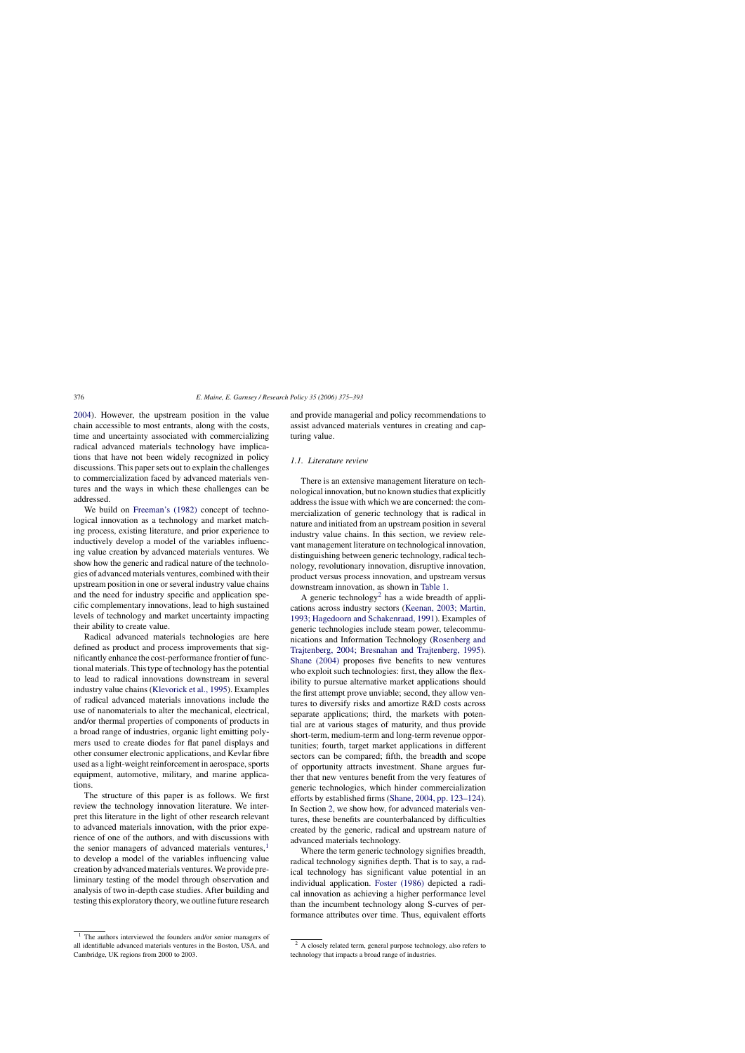<span id="page-1-0"></span>[2004\).](#page-18-0) However, the upstream position in the value chain accessible to most entrants, along with the costs, time and uncertainty associated with commercializing radical advanced materials technology have implications that have not been widely recognized in policy discussions. This paper sets out to explain the challenges to commercialization faced by advanced materials ventures and the ways in which these challenges can be addressed.

We build on [Freeman's \(1982\)](#page-18-0) concept of technological innovation as a technology and market matching process, existing literature, and prior experience to inductively develop a model of the variables influencing value creation by advanced materials ventures. We show how the generic and radical nature of the technologies of advanced materials ventures, combined with their upstream position in one or several industry value chains and the need for industry specific and application specific complementary innovations, lead to high sustained levels of technology and market uncertainty impacting their ability to create value.

Radical advanced materials technologies are here defined as product and process improvements that significantly enhance the cost-performance frontier of functional materials. This type of technology has the potential to lead to radical innovations downstream in several industry value chains [\(Klevorick et al., 1995\).](#page-18-0) Examples of radical advanced materials innovations include the use of nanomaterials to alter the mechanical, electrical, and/or thermal properties of components of products in a broad range of industries, organic light emitting polymers used to create diodes for flat panel displays and other consumer electronic applications, and Kevlar fibre used as a light-weight reinforcement in aerospace, sports equipment, automotive, military, and marine applications.

The structure of this paper is as follows. We first review the technology innovation literature. We interpret this literature in the light of other research relevant to advanced materials innovation, with the prior experience of one of the authors, and with discussions with the senior managers of advanced materials ventures, $<sup>1</sup>$ </sup> to develop a model of the variables influencing value creation by advanced materials ventures. We provide preliminary testing of the model through observation and analysis of two in-depth case studies. After building and testing this exploratory theory, we outline future research and provide managerial and policy recommendations to assist advanced materials ventures in creating and capturing value.

# *1.1. Literature review*

There is an extensive management literature on technological innovation, but no known studies that explicitly address the issue with which we are concerned: the commercialization of generic technology that is radical in nature and initiated from an upstream position in several industry value chains. In this section, we review relevant management literature on technological innovation, distinguishing between generic technology, radical technology, revolutionary innovation, disruptive innovation, product versus process innovation, and upstream versus downstream innovation, as shown in [Table 1.](#page-2-0)

A generic technology<sup>2</sup> has a wide breadth of applications across industry sectors [\(Keenan, 2003; Martin,](#page-18-0) [1993; Hagedoorn and Schakenraad, 1991\).](#page-18-0) Examples of generic technologies include steam power, telecommunications and Information Technology [\(Rosenberg and](#page-18-0) [Trajtenberg, 2004; Bresnahan and Trajtenberg, 1995\).](#page-18-0) [Shane \(2004\)](#page-18-0) proposes five benefits to new ventures who exploit such technologies: first, they allow the flexibility to pursue alternative market applications should the first attempt prove unviable; second, they allow ventures to diversify risks and amortize R&D costs across separate applications; third, the markets with potential are at various stages of maturity, and thus provide short-term, medium-term and long-term revenue opportunities; fourth, target market applications in different sectors can be compared; fifth, the breadth and scope of opportunity attracts investment. Shane argues further that new ventures benefit from the very features of generic technologies, which hinder commercialization efforts by established firms ([Shane, 2004, pp. 123–124\).](#page-18-0) In Section [2,](#page-3-0) we show how, for advanced materials ventures, these benefits are counterbalanced by difficulties created by the generic, radical and upstream nature of advanced materials technology.

Where the term generic technology signifies breadth, radical technology signifies depth. That is to say, a radical technology has significant value potential in an individual application. [Foster \(1986\)](#page-17-0) depicted a radical innovation as achieving a higher performance level than the incumbent technology along S-curves of performance attributes over time. Thus, equivalent efforts

<sup>&</sup>lt;sup>1</sup> The authors interviewed the founders and/or senior managers of all identifiable advanced materials ventures in the Boston, USA, and Cambridge, UK regions from 2000 to 2003.

 $2A$  closely related term, general purpose technology, also refers to technology that impacts a broad range of industries.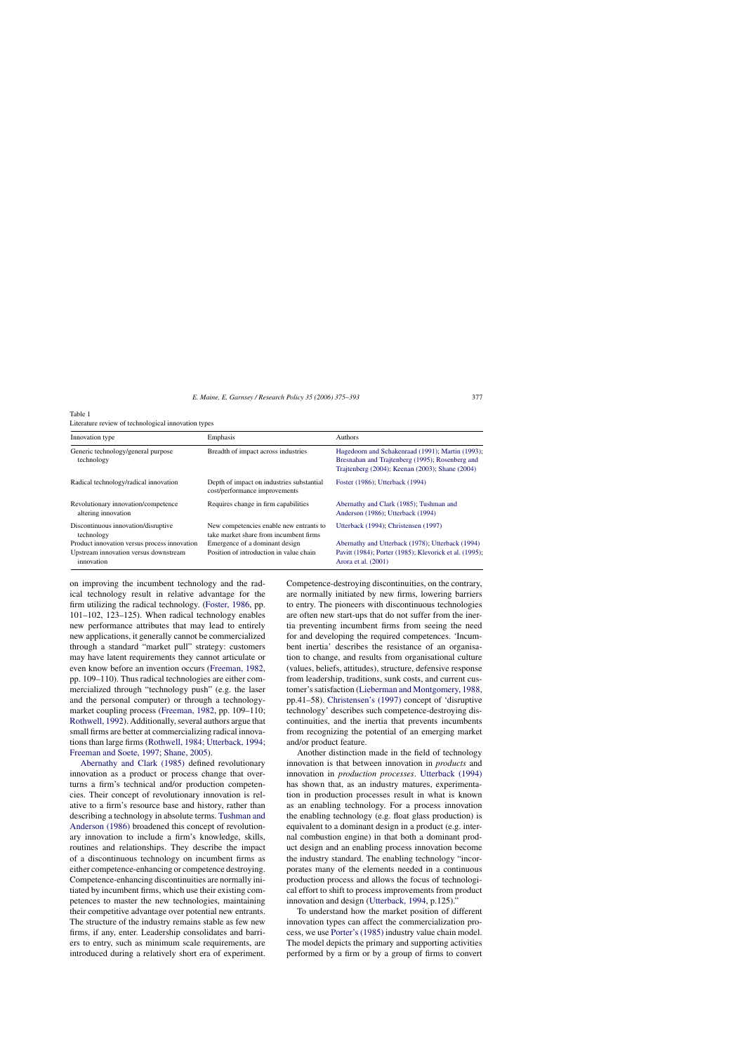<span id="page-2-0"></span>

| Table 1                                             |  |
|-----------------------------------------------------|--|
| Literature review of technological innovation types |  |

| Innovation type                                            | Emphasis                                                                          | Authors                                                                                                                                                |
|------------------------------------------------------------|-----------------------------------------------------------------------------------|--------------------------------------------------------------------------------------------------------------------------------------------------------|
| Generic technology/general purpose<br>technology           | Breadth of impact across industries                                               | Hagedoorn and Schakenraad (1991); Martin (1993);<br>Bresnahan and Trajtenberg (1995); Rosenberg and<br>Trajtenberg (2004); Keenan (2003); Shane (2004) |
| Radical technology/radical innovation                      | Depth of impact on industries substantial<br>cost/performance improvements        | Foster (1986); Utterback (1994)                                                                                                                        |
| Revolutionary innovation/competence<br>altering innovation | Requires change in firm capabilities                                              | Abernathy and Clark (1985); Tushman and<br>Anderson (1986); Utterback (1994)                                                                           |
| Discontinuous innovation/disruptive<br>technology          | New competencies enable new entrants to<br>take market share from incumbent firms | Utterback (1994); Christensen (1997)                                                                                                                   |
| Product innovation versus process innovation               | Emergence of a dominant design                                                    | Abernathy and Utterback (1978); Utterback (1994)                                                                                                       |
| Upstream innovation versus downstream<br>innovation        | Position of introduction in value chain                                           | Pavitt (1984); Porter (1985); Klevorick et al. (1995);<br>Arora et al. (2001)                                                                          |

on improving the incumbent technology and the radical technology result in relative advantage for the firm utilizing the radical technology. [\(Foster, 1986,](#page-17-0) pp. 101–102, 123–125). When radical technology enables new performance attributes that may lead to entirely new applications, it generally cannot be commercialized through a standard "market pull" strategy: customers may have latent requirements they cannot articulate or even know before an invention occurs ([Freeman, 1982,](#page-18-0) pp. 109–110). Thus radical technologies are either commercialized through "technology push" (e.g. the laser and the personal computer) or through a technologymarket coupling process [\(Freeman, 1982,](#page-18-0) pp. 109–110; [Rothwell, 1992\).](#page-18-0) Additionally, several authors argue that small firms are better at commercializing radical innovations than large firms ([Rothwell, 1984; Utterback, 1994;](#page-18-0) [Freeman and Soete, 1997; Shane, 2005\).](#page-18-0)

[Abernathy and Clark \(1985\)](#page-17-0) defined revolutionary innovation as a product or process change that overturns a firm's technical and/or production competencies. Their concept of revolutionary innovation is relative to a firm's resource base and history, rather than describing a technology in absolute terms. [Tushman and](#page-18-0) [Anderson \(1986\)](#page-18-0) broadened this concept of revolutionary innovation to include a firm's knowledge, skills, routines and relationships. They describe the impact of a discontinuous technology on incumbent firms as either competence-enhancing or competence destroying. Competence-enhancing discontinuities are normally initiated by incumbent firms, which use their existing competences to master the new technologies, maintaining their competitive advantage over potential new entrants. The structure of the industry remains stable as few new firms, if any, enter. Leadership consolidates and barriers to entry, such as minimum scale requirements, are introduced during a relatively short era of experiment. Competence-destroying discontinuities, on the contrary, are normally initiated by new firms, lowering barriers to entry. The pioneers with discontinuous technologies are often new start-ups that do not suffer from the inertia preventing incumbent firms from seeing the need for and developing the required competences. 'Incumbent inertia' describes the resistance of an organisation to change, and results from organisational culture (values, beliefs, attitudes), structure, defensive response from leadership, traditions, sunk costs, and current customer's satisfaction [\(Lieberman and Montgomery, 1988,](#page-18-0) pp.41–58). [Christensen's \(1997\)](#page-17-0) concept of 'disruptive technology' describes such competence-destroying discontinuities, and the inertia that prevents incumbents from recognizing the potential of an emerging market and/or product feature.

Another distinction made in the field of technology innovation is that between innovation in *products* and innovation in *production processes*. [Utterback \(1994\)](#page-18-0) has shown that, as an industry matures, experimentation in production processes result in what is known as an enabling technology. For a process innovation the enabling technology (e.g. float glass production) is equivalent to a dominant design in a product (e.g. internal combustion engine) in that both a dominant product design and an enabling process innovation become the industry standard. The enabling technology "incorporates many of the elements needed in a continuous production process and allows the focus of technological effort to shift to process improvements from product innovation and design [\(Utterback, 1994, p](#page-18-0).125)."

To understand how the market position of different innovation types can affect the commercialization process, we use [Porter's \(1985\)](#page-18-0) industry value chain model. The model depicts the primary and supporting activities performed by a firm or by a group of firms to convert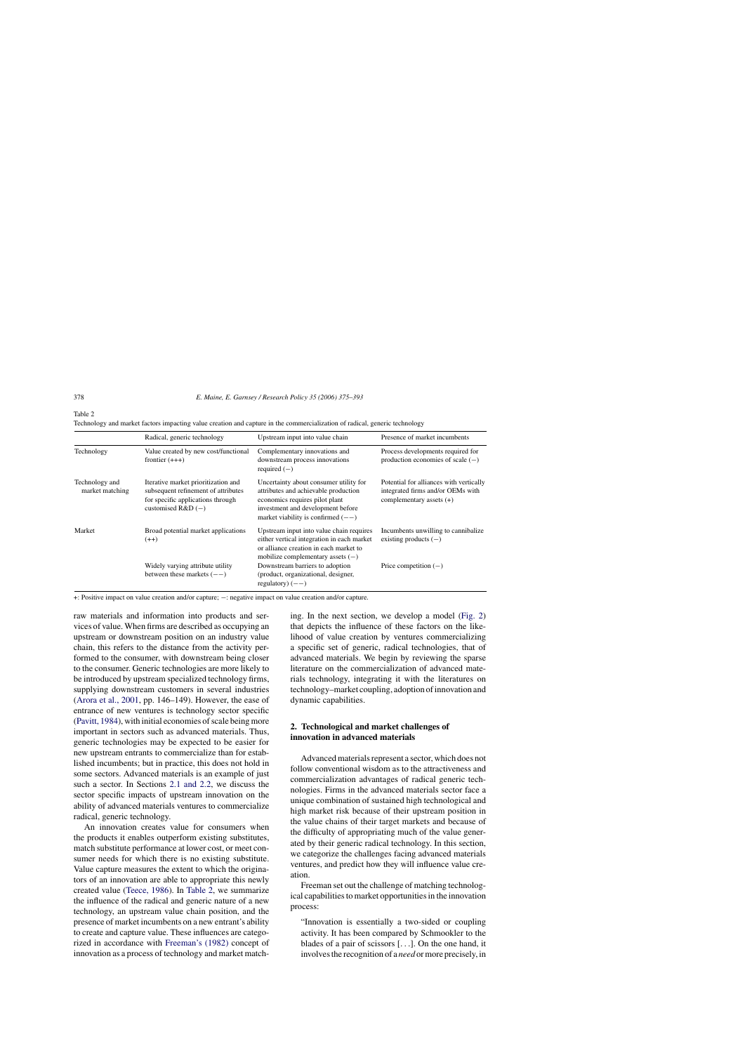<span id="page-3-0"></span>Table 2

|                                   | Radical, generic technology                                                                                                            | Upstream input into value chain                                                                                                                                                               | Presence of market incumbents                                                                              |
|-----------------------------------|----------------------------------------------------------------------------------------------------------------------------------------|-----------------------------------------------------------------------------------------------------------------------------------------------------------------------------------------------|------------------------------------------------------------------------------------------------------------|
| Technology                        | Value created by new cost/functional<br>frontier $(+++)$                                                                               | Complementary innovations and<br>downstream process innovations<br>required $(-)$                                                                                                             | Process developments required for<br>production economies of scale $(-)$                                   |
| Technology and<br>market matching | Iterative market prioritization and<br>subsequent refinement of attributes<br>for specific applications through<br>customised $R&D(-)$ | Uncertainty about consumer utility for<br>attributes and achievable production<br>economics requires pilot plant<br>investment and development before<br>market viability is confirmed $(--)$ | Potential for alliances with vertically<br>integrated firms and/or OEMs with<br>complementary assets $(+)$ |
| Market                            | Broad potential market applications<br>$(++)$                                                                                          | Upstream input into value chain requires<br>either vertical integration in each market<br>or alliance creation in each market to<br>mobilize complementary assets $(-)$                       | Incumbents unwilling to cannibalize.<br>existing products $(-)$                                            |
|                                   | Widely varying attribute utility<br>between these markets $(--)$                                                                       | Downstream barriers to adoption<br>(product, organizational, designer,<br>regulatory) $(--)$                                                                                                  | Price competition $(-)$                                                                                    |

Technology and market factors impacting value creation and capture in the commercialization of radical, generic technology

+: Positive impact on value creation and/or capture; −: negative impact on value creation and/or capture.

raw materials and information into products and services of value. When firms are described as occupying an upstream or downstream position on an industry value chain, this refers to the distance from the activity performed to the consumer, with downstream being closer to the consumer. Generic technologies are more likely to be introduced by upstream specialized technology firms, supplying downstream customers in several industries ([Arora et al., 2001,](#page-17-0) pp. 146–149). However, the ease of entrance of new ventures is technology sector specific ([Pavitt, 1984\),](#page-18-0) with initial economies of scale being more important in sectors such as advanced materials. Thus, generic technologies may be expected to be easier for new upstream entrants to commercialize than for established incumbents; but in practice, this does not hold in some sectors. Advanced materials is an example of just such a sector. In Sections [2.1 and 2.2,](#page-4-0) we discuss the sector specific impacts of upstream innovation on the ability of advanced materials ventures to commercialize radical, generic technology.

An innovation creates value for consumers when the products it enables outperform existing substitutes, match substitute performance at lower cost, or meet consumer needs for which there is no existing substitute. Value capture measures the extent to which the originators of an innovation are able to appropriate this newly created value ([Teece, 1986\).](#page-18-0) In Table 2, we summarize the influence of the radical and generic nature of a new technology, an upstream value chain position, and the presence of market incumbents on a new entrant's ability to create and capture value. These influences are categorized in accordance with [Freeman's \(1982\)](#page-18-0) concept of innovation as a process of technology and market matching. In the next section, we develop a model ([Fig. 2\)](#page-5-0) that depicts the influence of these factors on the likelihood of value creation by ventures commercializing a specific set of generic, radical technologies, that of advanced materials. We begin by reviewing the sparse literature on the commercialization of advanced materials technology, integrating it with the literatures on technology–market coupling, adoption of innovation and dynamic capabilities.

# **2. Technological and market challenges of innovation in advanced materials**

Advanced materials represent a sector, which does not follow conventional wisdom as to the attractiveness and commercialization advantages of radical generic technologies. Firms in the advanced materials sector face a unique combination of sustained high technological and high market risk because of their upstream position in the value chains of their target markets and because of the difficulty of appropriating much of the value generated by their generic radical technology. In this section, we categorize the challenges facing advanced materials ventures, and predict how they will influence value creation.

Freeman set out the challenge of matching technological capabilities to market opportunities in the innovation process:

"Innovation is essentially a two-sided or coupling activity. It has been compared by Schmookler to the blades of a pair of scissors [...]. On the one hand, it involves the recognition of a *need* or more precisely, in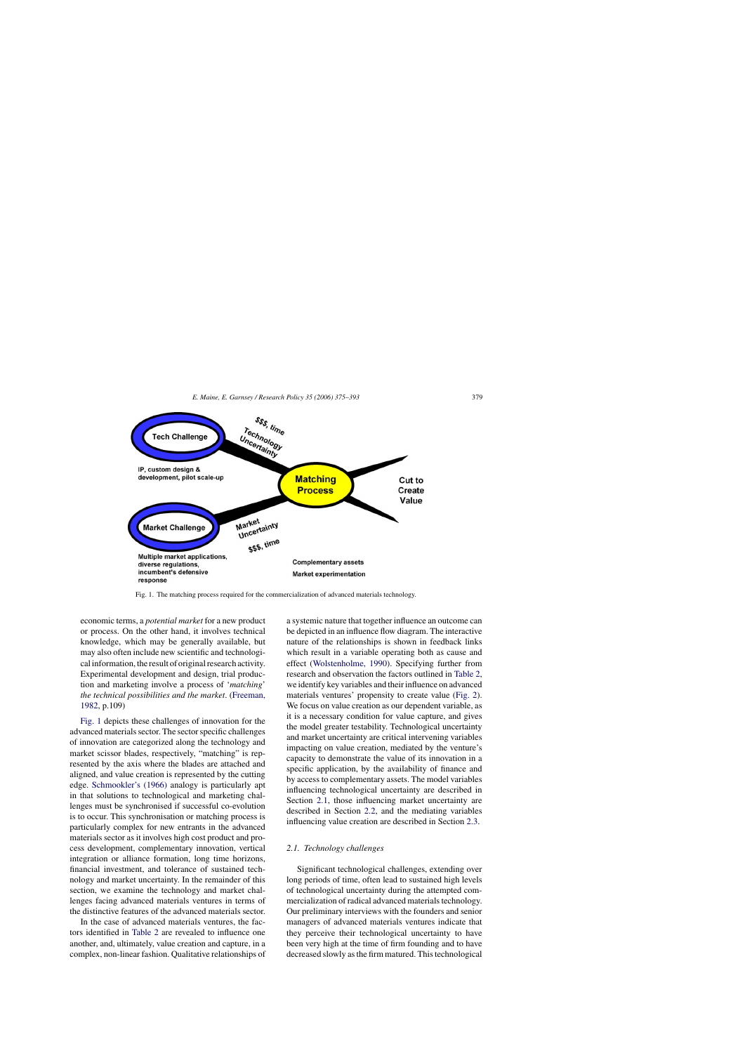<span id="page-4-0"></span>

Fig. 1. The matching process required for the commercialization of advanced materials technology.

economic terms, a *potential market* for a new product or process. On the other hand, it involves technical knowledge, which may be generally available, but may also often include new scientific and technological information, the result of original research activity. Experimental development and design, trial production and marketing involve a process of '*matching*' *the technical possibilities and the market*. ([Freeman,](#page-18-0) [1982, p](#page-18-0).109)

Fig. 1 depicts these challenges of innovation for the advanced materials sector. The sector specific challenges of innovation are categorized along the technology and market scissor blades, respectively, "matching" is represented by the axis where the blades are attached and aligned, and value creation is represented by the cutting edge. [Schmookler's \(1966\)](#page-18-0) analogy is particularly apt in that solutions to technological and marketing challenges must be synchronised if successful co-evolution is to occur. This synchronisation or matching process is particularly complex for new entrants in the advanced materials sector as it involves high cost product and process development, complementary innovation, vertical integration or alliance formation, long time horizons, financial investment, and tolerance of sustained technology and market uncertainty. In the remainder of this section, we examine the technology and market challenges facing advanced materials ventures in terms of the distinctive features of the advanced materials sector.

In the case of advanced materials ventures, the factors identified in [Table 2](#page-3-0) are revealed to influence one another, and, ultimately, value creation and capture, in a complex, non-linear fashion. Qualitative relationships of a systemic nature that together influence an outcome can be depicted in an influence flow diagram. The interactive nature of the relationships is shown in feedback links which result in a variable operating both as cause and effect ([Wolstenholme, 1990\).](#page-18-0) Specifying further from research and observation the factors outlined in [Table 2,](#page-3-0) we identify key variables and their influence on advanced materials ventures' propensity to create value [\(Fig. 2\).](#page-5-0) We focus on value creation as our dependent variable, as it is a necessary condition for value capture, and gives the model greater testability. Technological uncertainty and market uncertainty are critical intervening variables impacting on value creation, mediated by the venture's capacity to demonstrate the value of its innovation in a specific application, by the availability of finance and by access to complementary assets. The model variables influencing technological uncertainty are described in Section 2.1, those influencing market uncertainty are described in Section [2.2,](#page-6-0) and the mediating variables influencing value creation are described in Section [2.3.](#page-8-0)

#### *2.1. Technology challenges*

Significant technological challenges, extending over long periods of time, often lead to sustained high levels of technological uncertainty during the attempted commercialization of radical advanced materials technology. Our preliminary interviews with the founders and senior managers of advanced materials ventures indicate that they perceive their technological uncertainty to have been very high at the time of firm founding and to have decreased slowly as the firm matured. This technological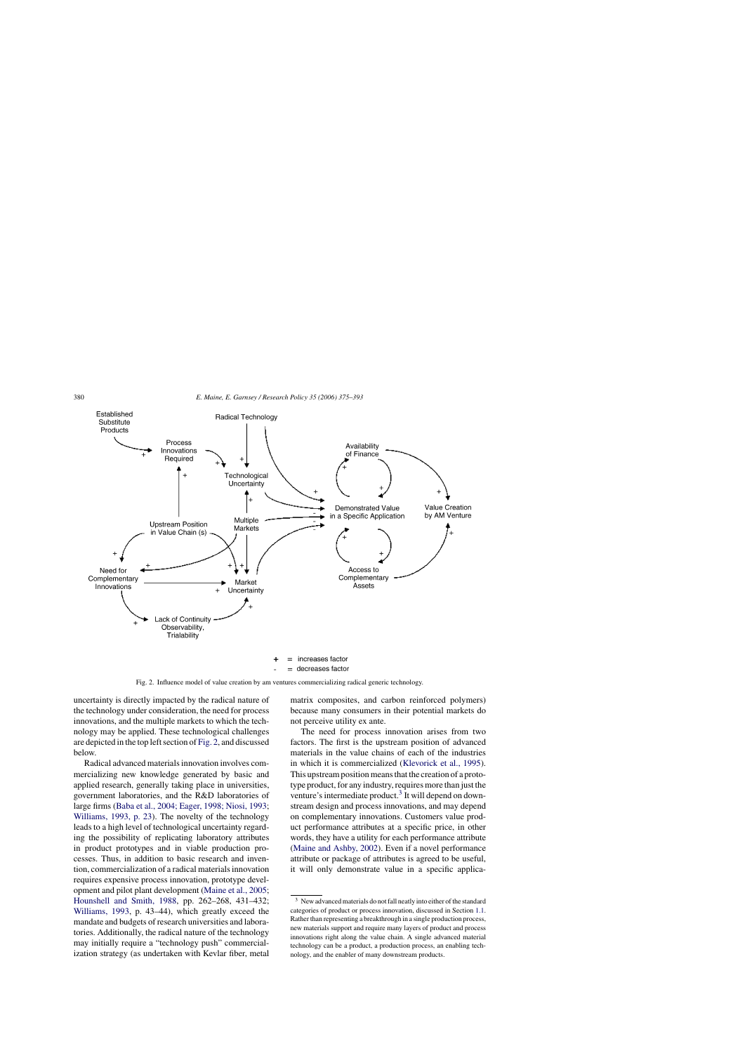<span id="page-5-0"></span>

Fig. 2. Influence model of value creation by am ventures commercializing radical generic technology.

uncertainty is directly impacted by the radical nature of the technology under consideration, the need for process innovations, and the multiple markets to which the technology may be applied. These technological challenges are depicted in the top left section of Fig. 2, and discussed below.

Radical advanced materials innovation involves commercializing new knowledge generated by basic and applied research, generally taking place in universities, government laboratories, and the R&D laboratories of large firms [\(Baba et al., 2004; Eager, 1998; Niosi, 1993;](#page-17-0) [Williams, 1993, p. 23\).](#page-18-0) The novelty of the technology leads to a high level of technological uncertainty regarding the possibility of replicating laboratory attributes in product prototypes and in viable production processes. Thus, in addition to basic research and invention, commercialization of a radical materials innovation requires expensive process innovation, prototype development and pilot plant development ([Maine et al., 2005;](#page-18-0) [Hounshell and Smith, 1988,](#page-18-0) pp. 262–268, 431–432; [Williams, 1993,](#page-18-0) p. 43–44), which greatly exceed the mandate and budgets of research universities and laboratories. Additionally, the radical nature of the technology may initially require a "technology push" commercialization strategy (as undertaken with Kevlar fiber, metal

matrix composites, and carbon reinforced polymers) because many consumers in their potential markets do not perceive utility ex ante.

The need for process innovation arises from two factors. The first is the upstream position of advanced materials in the value chains of each of the industries in which it is commercialized [\(Klevorick et al., 1995\).](#page-18-0) This upstream position means that the creation of a prototype product, for any industry, requires more than just the venture's intermediate product. $3$  It will depend on downstream design and process innovations, and may depend on complementary innovations. Customers value product performance attributes at a specific price, in other words, they have a utility for each performance attribute ([Maine and Ashby, 2002\).](#page-18-0) Even if a novel performance attribute or package of attributes is agreed to be useful, it will only demonstrate value in a specific applica-

 $3\,$  New advanced materials do not fall neatly into either of the standard categories of product or process innovation, discussed in Section [1.1.](#page-1-0) Rather than representing a breakthrough in a single production process, new materials support and require many layers of product and process innovations right along the value chain. A single advanced material technology can be a product, a production process, an enabling technology, and the enabler of many downstream products.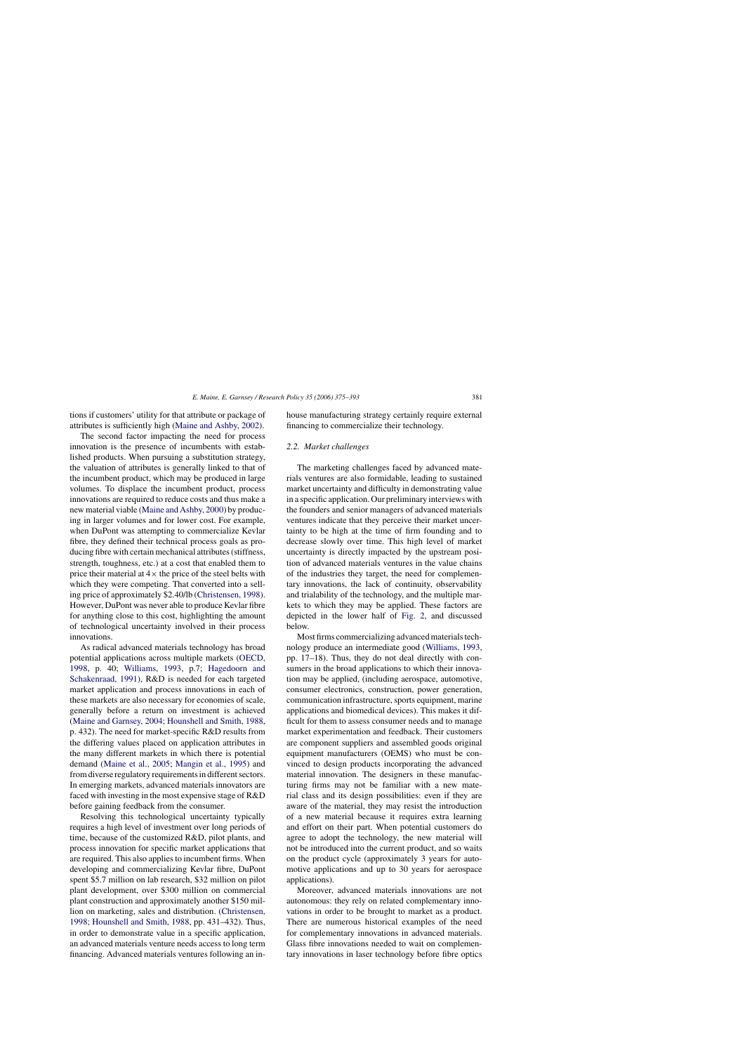<span id="page-6-0"></span>tions if customers' utility for that attribute or package of attributes is sufficiently high [\(Maine and Ashby, 2002\).](#page-18-0)

The second factor impacting the need for process innovation is the presence of incumbents with established products. When pursuing a substitution strategy, the valuation of attributes is generally linked to that of the incumbent product, which may be produced in large volumes. To displace the incumbent product, process innovations are required to reduce costs and thus make a new material viable [\(Maine and Ashby, 2000\) b](#page-18-0)y producing in larger volumes and for lower cost. For example, when DuPont was attempting to commercialize Kevlar fibre, they defined their technical process goals as producing fibre with certain mechanical attributes (stiffness, strength, toughness, etc.) at a cost that enabled them to price their material at  $4 \times$  the price of the steel belts with which they were competing. That converted into a selling price of approximately \$2.40/lb [\(Christensen, 1998\).](#page-17-0) However, DuPont was never able to produce Kevlar fibre for anything close to this cost, highlighting the amount of technological uncertainty involved in their process innovations.

As radical advanced materials technology has broad potential applications across multiple markets ([OECD,](#page-18-0) [1998,](#page-18-0) p. 40; [Williams, 1993,](#page-18-0) p.7; [Hagedoorn and](#page-18-0) [Schakenraad, 1991\),](#page-18-0) R&D is needed for each targeted market application and process innovations in each of these markets are also necessary for economies of scale, generally before a return on investment is achieved [\(Maine and Garnsey, 2004;](#page-18-0) [Hounshell and Smith, 1988,](#page-18-0) p. 432). The need for market-specific R&D results from the differing values placed on application attributes in the many different markets in which there is potential demand [\(Maine et al., 2005;](#page-18-0) [Mangin et al., 1995\)](#page-18-0) and from diverse regulatory requirements in different sectors. In emerging markets, advanced materials innovators are faced with investing in the most expensive stage of R&D before gaining feedback from the consumer.

Resolving this technological uncertainty typically requires a high level of investment over long periods of time, because of the customized R&D, pilot plants, and process innovation for specific market applications that are required. This also applies to incumbent firms. When developing and commercializing Kevlar fibre, DuPont spent \$5.7 million on lab research, \$32 million on pilot plant development, over \$300 million on commercial plant construction and approximately another \$150 million on marketing, sales and distribution. ([Christensen,](#page-17-0) [1998; Hounshell and Smith, 1988,](#page-17-0) pp. 431–432). Thus, in order to demonstrate value in a specific application, an advanced materials venture needs access to long term financing. Advanced materials ventures following an inhouse manufacturing strategy certainly require external financing to commercialize their technology.

#### *2.2. Market challenges*

The marketing challenges faced by advanced materials ventures are also formidable, leading to sustained market uncertainty and difficulty in demonstrating value in a specific application. Our preliminary interviews with the founders and senior managers of advanced materials ventures indicate that they perceive their market uncertainty to be high at the time of firm founding and to decrease slowly over time. This high level of market uncertainty is directly impacted by the upstream position of advanced materials ventures in the value chains of the industries they target, the need for complementary innovations, the lack of continuity, observability and trialability of the technology, and the multiple markets to which they may be applied. These factors are depicted in the lower half of [Fig. 2,](#page-5-0) and discussed below.

Most firms commercializing advanced materials technology produce an intermediate good [\(Williams, 1993,](#page-18-0) pp. 17–18). Thus, they do not deal directly with consumers in the broad applications to which their innovation may be applied, (including aerospace, automotive, consumer electronics, construction, power generation, communication infrastructure, sports equipment, marine applications and biomedical devices). This makes it difficult for them to assess consumer needs and to manage market experimentation and feedback. Their customers are component suppliers and assembled goods original equipment manufacturers (OEMS) who must be convinced to design products incorporating the advanced material innovation. The designers in these manufacturing firms may not be familiar with a new material class and its design possibilities: even if they are aware of the material, they may resist the introduction of a new material because it requires extra learning and effort on their part. When potential customers do agree to adopt the technology, the new material will not be introduced into the current product, and so waits on the product cycle (approximately 3 years for automotive applications and up to 30 years for aerospace applications).

Moreover, advanced materials innovations are not autonomous: they rely on related complementary innovations in order to be brought to market as a product. There are numerous historical examples of the need for complementary innovations in advanced materials. Glass fibre innovations needed to wait on complementary innovations in laser technology before fibre optics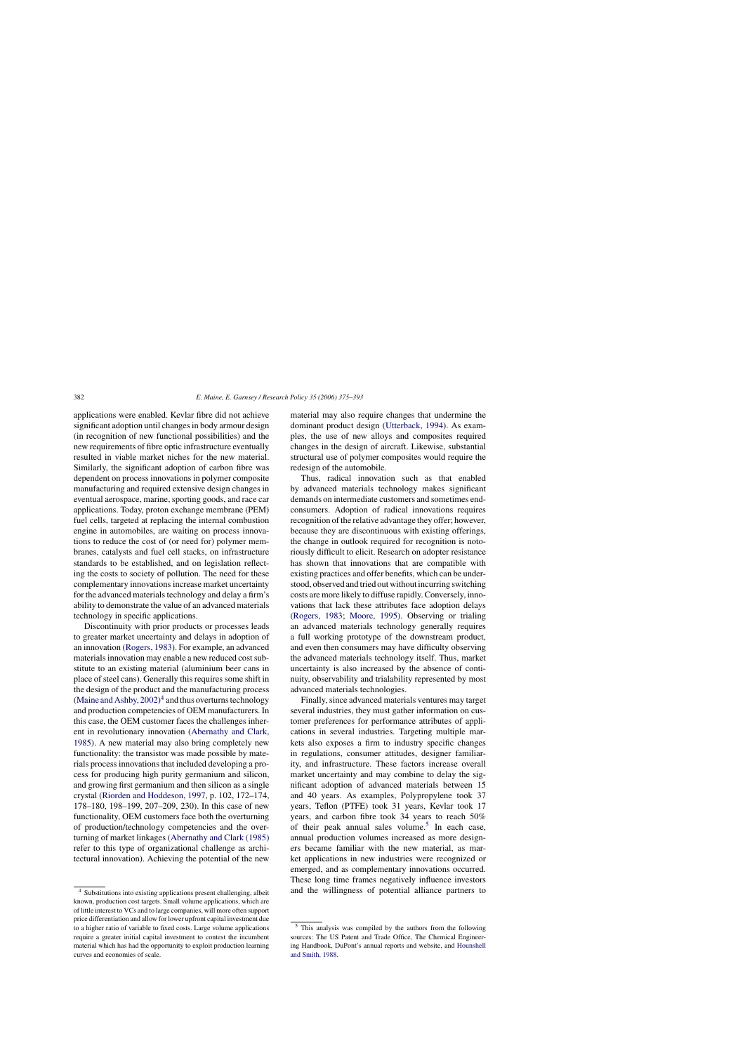applications were enabled. Kevlar fibre did not achieve significant adoption until changes in body armour design (in recognition of new functional possibilities) and the new requirements of fibre optic infrastructure eventually resulted in viable market niches for the new material. Similarly, the significant adoption of carbon fibre was dependent on process innovations in polymer composite manufacturing and required extensive design changes in eventual aerospace, marine, sporting goods, and race car applications. Today, proton exchange membrane (PEM) fuel cells, targeted at replacing the internal combustion engine in automobiles, are waiting on process innovations to reduce the cost of (or need for) polymer membranes, catalysts and fuel cell stacks, on infrastructure standards to be established, and on legislation reflecting the costs to society of pollution. The need for these complementary innovations increase market uncertainty for the advanced materials technology and delay a firm's ability to demonstrate the value of an advanced materials technology in specific applications.

Discontinuity with prior products or processes leads to greater market uncertainty and delays in adoption of an innovation ([Rogers, 1983\).](#page-18-0) For example, an advanced materials innovation may enable a new reduced cost substitute to an existing material (aluminium beer cans in place of steel cans). Generally this requires some shift in the design of the product and the manufacturing process (Maine and Ashby,  $2002$ )<sup>4</sup> and thus overturns technology and production competencies of OEM manufacturers. In this case, the OEM customer faces the challenges inherent in revolutionary innovation [\(Abernathy and Clark,](#page-17-0) [1985\).](#page-17-0) A new material may also bring completely new functionality: the transistor was made possible by materials process innovations that included developing a process for producing high purity germanium and silicon, and growing first germanium and then silicon as a single crystal ([Riorden and Hoddeson, 1997,](#page-18-0) p. 102, 172–174, 178–180, 198–199, 207–209, 230). In this case of new functionality, OEM customers face both the overturning of production/technology competencies and the overturning of market linkages ([Abernathy and Clark \(1985\)](#page-17-0) refer to this type of organizational challenge as architectural innovation). Achieving the potential of the new material may also require changes that undermine the dominant product design ([Utterback, 1994\).](#page-18-0) As examples, the use of new alloys and composites required changes in the design of aircraft. Likewise, substantial structural use of polymer composites would require the redesign of the automobile.

Thus, radical innovation such as that enabled by advanced materials technology makes significant demands on intermediate customers and sometimes endconsumers. Adoption of radical innovations requires recognition of the relative advantage they offer; however, because they are discontinuous with existing offerings, the change in outlook required for recognition is notoriously difficult to elicit. Research on adopter resistance has shown that innovations that are compatible with existing practices and offer benefits, which can be understood, observed and tried out without incurring switching costs are more likely to diffuse rapidly. Conversely, innovations that lack these attributes face adoption delays ([Rogers, 1983;](#page-18-0) [Moore, 1995\).](#page-18-0) Observing or trialing an advanced materials technology generally requires a full working prototype of the downstream product, and even then consumers may have difficulty observing the advanced materials technology itself. Thus, market uncertainty is also increased by the absence of continuity, observability and trialability represented by most advanced materials technologies.

Finally, since advanced materials ventures may target several industries, they must gather information on customer preferences for performance attributes of applications in several industries. Targeting multiple markets also exposes a firm to industry specific changes in regulations, consumer attitudes, designer familiarity, and infrastructure. These factors increase overall market uncertainty and may combine to delay the significant adoption of advanced materials between 15 and 40 years. As examples, Polypropylene took 37 years, Teflon (PTFE) took 31 years, Kevlar took 17 years, and carbon fibre took 34 years to reach 50% of their peak annual sales volume.<sup>5</sup> In each case, annual production volumes increased as more designers became familiar with the new material, as market applications in new industries were recognized or emerged, and as complementary innovations occurred. These long time frames negatively influence investors and the willingness of potential alliance partners to

<sup>4</sup> Substitutions into existing applications present challenging, albeit known, production cost targets. Small volume applications, which are of little interest to VCs and to large companies, will more often support price differentiation and allow for lower upfront capital investment due to a higher ratio of variable to fixed costs. Large volume applications require a greater initial capital investment to contest the incumbent material which has had the opportunity to exploit production learning curves and economies of scale.

<sup>5</sup> This analysis was compiled by the authors from the following sources: The US Patent and Trade Office, The Chemical Engineering Handbook, DuPont's annual reports and website, and [Hounshell](#page-18-0) [and Smith, 1988.](#page-18-0)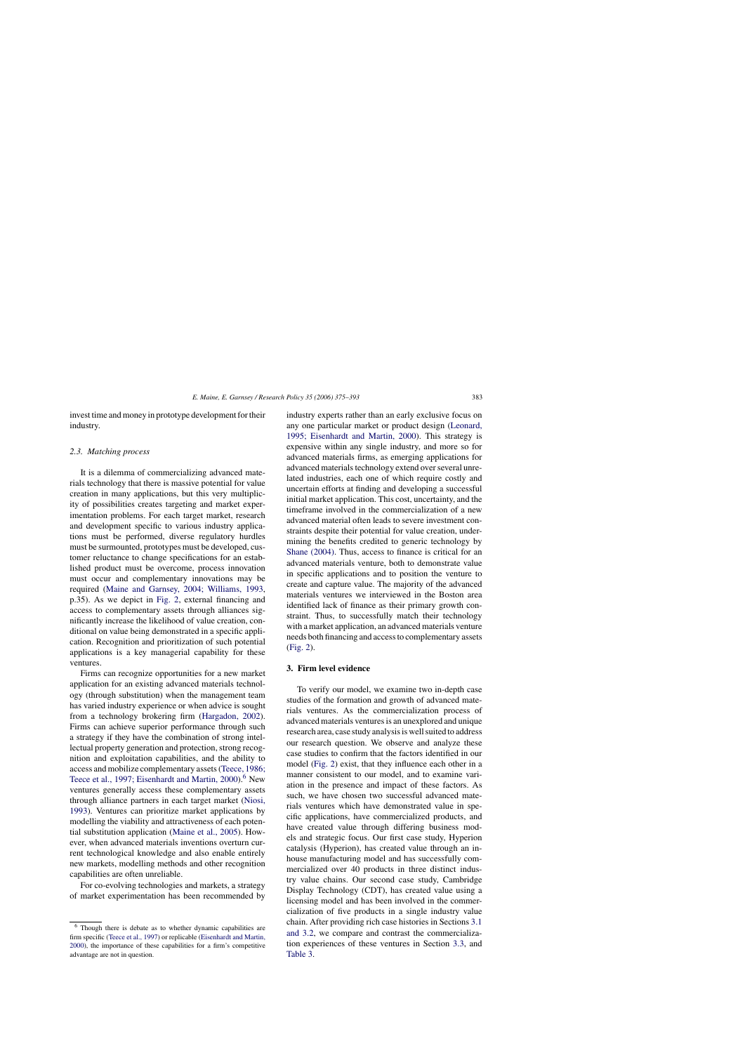<span id="page-8-0"></span>invest time and money in prototype development for their industry.

### *2.3. Matching process*

It is a dilemma of commercializing advanced materials technology that there is massive potential for value creation in many applications, but this very multiplicity of possibilities creates targeting and market experimentation problems. For each target market, research and development specific to various industry applications must be performed, diverse regulatory hurdles must be surmounted, prototypes must be developed, customer reluctance to change specifications for an established product must be overcome, process innovation must occur and complementary innovations may be required ([Maine and Garnsey, 2004; Williams, 1993,](#page-18-0) p.35). As we depict in [Fig. 2,](#page-5-0) external financing and access to complementary assets through alliances significantly increase the likelihood of value creation, conditional on value being demonstrated in a specific application. Recognition and prioritization of such potential applications is a key managerial capability for these ventures.

Firms can recognize opportunities for a new market application for an existing advanced materials technology (through substitution) when the management team has varied industry experience or when advice is sought from a technology brokering firm [\(Hargadon, 2002\).](#page-18-0) Firms can achieve superior performance through such a strategy if they have the combination of strong intellectual property generation and protection, strong recognition and exploitation capabilities, and the ability to access and mobilize complementary assets [\(Teece, 1986;](#page-18-0) [Teece et al., 1997; Eisenhardt and Martin, 2000\).](#page-18-0)<sup>6</sup> New ventures generally access these complementary assets through alliance partners in each target market [\(Niosi,](#page-18-0) [1993\).](#page-18-0) Ventures can prioritize market applications by modelling the viability and attractiveness of each potential substitution application ([Maine et al., 2005\).](#page-18-0) However, when advanced materials inventions overturn current technological knowledge and also enable entirely new markets, modelling methods and other recognition capabilities are often unreliable.

For co-evolving technologies and markets, a strategy of market experimentation has been recommended by industry experts rather than an early exclusive focus on any one particular market or product design ([Leonard,](#page-18-0) [1995; Eisenhardt and Martin, 2000\).](#page-18-0) This strategy is expensive within any single industry, and more so for advanced materials firms, as emerging applications for advanced materials technology extend over several unrelated industries, each one of which require costly and uncertain efforts at finding and developing a successful initial market application. This cost, uncertainty, and the timeframe involved in the commercialization of a new advanced material often leads to severe investment constraints despite their potential for value creation, undermining the benefits credited to generic technology by [Shane \(2004\).](#page-18-0) Thus, access to finance is critical for an advanced materials venture, both to demonstrate value in specific applications and to position the venture to create and capture value. The majority of the advanced materials ventures we interviewed in the Boston area identified lack of finance as their primary growth constraint. Thus, to successfully match their technology with a market application, an advanced materials venture needs both financing and access to complementary assets [\(Fig. 2\).](#page-5-0)

# **3. Firm level evidence**

To verify our model, we examine two in-depth case studies of the formation and growth of advanced materials ventures. As the commercialization process of advanced materials ventures is an unexplored and unique research area, case study analysis is well suited to address our research question. We observe and analyze these case studies to confirm that the factors identified in our model [\(Fig. 2\)](#page-5-0) exist, that they influence each other in a manner consistent to our model, and to examine variation in the presence and impact of these factors. As such, we have chosen two successful advanced materials ventures which have demonstrated value in specific applications, have commercialized products, and have created value through differing business models and strategic focus. Our first case study, Hyperion catalysis (Hyperion), has created value through an inhouse manufacturing model and has successfully commercialized over 40 products in three distinct industry value chains. Our second case study, Cambridge Display Technology (CDT), has created value using a licensing model and has been involved in the commercialization of five products in a single industry value chain. After providing rich case histories in Sections [3.1](#page-10-0) [and 3.2,](#page-10-0) we compare and contrast the commercialization experiences of these ventures in Section [3.3,](#page-13-0) and [Table 3.](#page-9-0)

<sup>6</sup> Though there is debate as to whether dynamic capabilities are firm specific ([Teece et al., 1997\) o](#page-18-0)r replicable [\(Eisenhardt and Martin,](#page-17-0) [2000\),](#page-17-0) the importance of these capabilities for a firm's competitive advantage are not in question.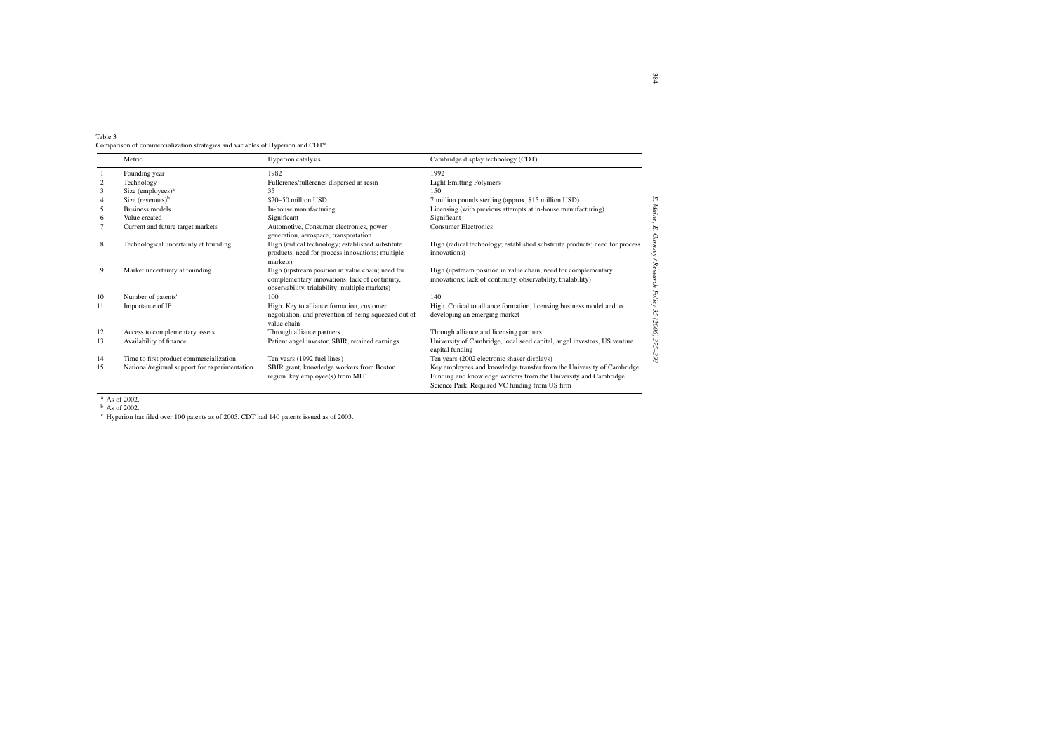<span id="page-9-0"></span>

|    | Metric                                        | Hyperion catalysis                                                                                                                                   | Cambridge display technology (CDT)                                                                                                                                                          |
|----|-----------------------------------------------|------------------------------------------------------------------------------------------------------------------------------------------------------|---------------------------------------------------------------------------------------------------------------------------------------------------------------------------------------------|
|    | Founding year                                 | 1982                                                                                                                                                 | 1992                                                                                                                                                                                        |
|    | Technology                                    | Fullerenes/fullerenes dispersed in resin                                                                                                             | <b>Light Emitting Polymers</b>                                                                                                                                                              |
| 3  | Size (employees) $a$                          | 35                                                                                                                                                   | 150                                                                                                                                                                                         |
|    | Size (revenues) $b$                           | \$20-50 million USD                                                                                                                                  | 7 million pounds sterling (approx. \$15 million USD)                                                                                                                                        |
| 5  | <b>Business models</b>                        | In-house manufacturing                                                                                                                               | Licensing (with previous attempts at in-house manufacturing)                                                                                                                                |
| 6  | Value created                                 | Significant                                                                                                                                          | Significant                                                                                                                                                                                 |
|    | Current and future target markets             | Automotive, Consumer electronics, power<br>generation, aerospace, transportation                                                                     | <b>Consumer Electronics</b>                                                                                                                                                                 |
| 8  | Technological uncertainty at founding         | High (radical technology; established substitute)<br>products; need for process innovations; multiple<br>markets)                                    | High (radical technology; established substitute products; need for process<br>innovations)                                                                                                 |
| 9  | Market uncertainty at founding                | High (upstream position in value chain; need for<br>complementary innovations; lack of continuity,<br>observability, trialability; multiple markets) | High (upstream position in value chain; need for complementary<br>innovations; lack of continuity, observability, trialability)                                                             |
| 10 | Number of patents <sup>c</sup>                | 100                                                                                                                                                  | 140                                                                                                                                                                                         |
| 11 | Importance of IP                              | High. Key to alliance formation, customer<br>negotiation, and prevention of being squeezed out of<br>value chain                                     | High. Critical to alliance formation, licensing business model and to<br>developing an emerging market                                                                                      |
| 12 | Access to complementary assets                | Through alliance partners                                                                                                                            | Through alliance and licensing partners                                                                                                                                                     |
| 13 | Availability of finance                       | Patient angel investor, SBIR, retained earnings                                                                                                      | University of Cambridge, local seed capital, angel investors, US venture<br>capital funding                                                                                                 |
| 14 | Time to first product commercialization       | Ten years (1992 fuel lines)                                                                                                                          | Ten years (2002 electronic shaver displays)                                                                                                                                                 |
| 15 | National/regional support for experimentation | SBIR grant, knowledge workers from Boston<br>region. key employee(s) from MIT                                                                        | Key employees and knowledge transfer from the University of Cambridge.<br>Funding and knowledge workers from the University and Cambridge<br>Science Park. Required VC funding from US firm |

 $^{\rm a}$  As of 2002.

 $<sup>b</sup>$  As of 2002.</sup>

 $\rm{c}$  Hyperion has filed over 100 patents as of 2005. CDT had 140 patents issued as of 2003.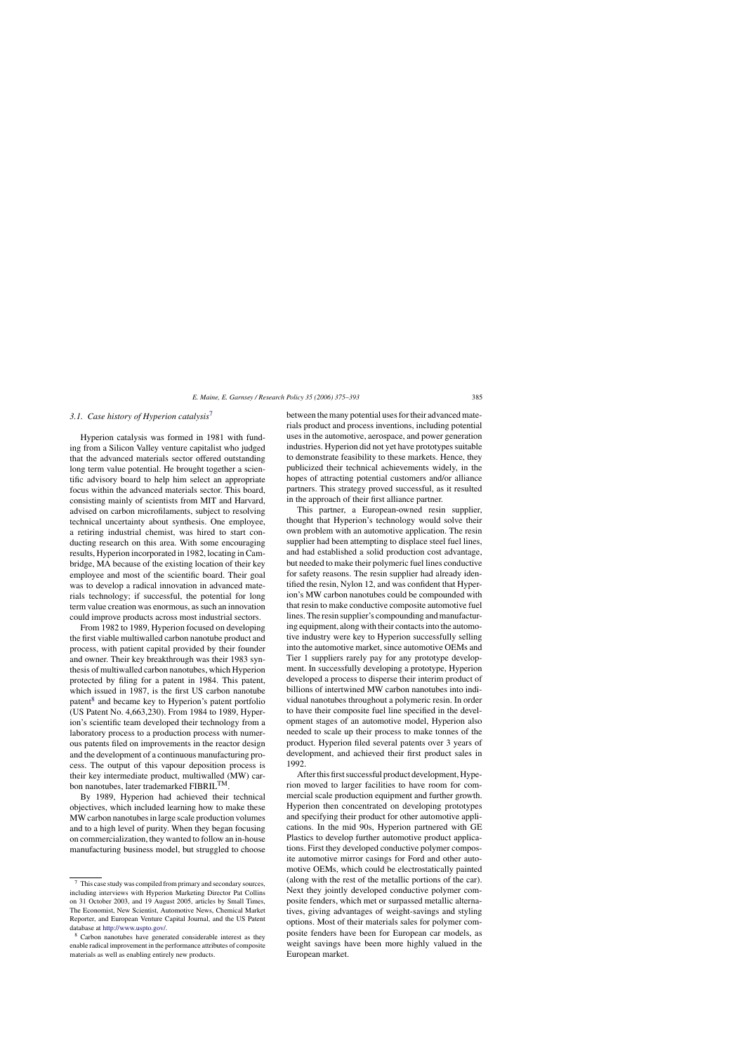## <span id="page-10-0"></span>*3.1. Case history of Hyperion catalysis*<sup>7</sup>

Hyperion catalysis was formed in 1981 with funding from a Silicon Valley venture capitalist who judged that the advanced materials sector offered outstanding long term value potential. He brought together a scientific advisory board to help him select an appropriate focus within the advanced materials sector. This board, consisting mainly of scientists from MIT and Harvard, advised on carbon microfilaments, subject to resolving technical uncertainty about synthesis. One employee, a retiring industrial chemist, was hired to start conducting research on this area. With some encouraging results, Hyperion incorporated in 1982, locating in Cambridge, MA because of the existing location of their key employee and most of the scientific board. Their goal was to develop a radical innovation in advanced materials technology; if successful, the potential for long term value creation was enormous, as such an innovation could improve products across most industrial sectors.

From 1982 to 1989, Hyperion focused on developing the first viable multiwalled carbon nanotube product and process, with patient capital provided by their founder and owner. Their key breakthrough was their 1983 synthesis of multiwalled carbon nanotubes, which Hyperion protected by filing for a patent in 1984. This patent, which issued in 1987, is the first US carbon nanotube patent $8$  and became key to Hyperion's patent portfolio (US Patent No. 4,663,230). From 1984 to 1989, Hyperion's scientific team developed their technology from a laboratory process to a production process with numerous patents filed on improvements in the reactor design and the development of a continuous manufacturing process. The output of this vapour deposition process is their key intermediate product, multiwalled (MW) carbon nanotubes, later trademarked FIBRIL<sup>TM</sup>.

By 1989, Hyperion had achieved their technical objectives, which included learning how to make these MW carbon nanotubes in large scale production volumes and to a high level of purity. When they began focusing on commercialization, they wanted to follow an in-house manufacturing business model, but struggled to choose

between the many potential uses for their advanced materials product and process inventions, including potential uses in the automotive, aerospace, and power generation industries. Hyperion did not yet have prototypes suitable to demonstrate feasibility to these markets. Hence, they publicized their technical achievements widely, in the hopes of attracting potential customers and/or alliance partners. This strategy proved successful, as it resulted in the approach of their first alliance partner.

This partner, a European-owned resin supplier, thought that Hyperion's technology would solve their own problem with an automotive application. The resin supplier had been attempting to displace steel fuel lines, and had established a solid production cost advantage, but needed to make their polymeric fuel lines conductive for safety reasons. The resin supplier had already identified the resin, Nylon 12, and was confident that Hyperion's MW carbon nanotubes could be compounded with that resin to make conductive composite automotive fuel lines. The resin supplier's compounding and manufacturing equipment, along with their contacts into the automotive industry were key to Hyperion successfully selling into the automotive market, since automotive OEMs and Tier 1 suppliers rarely pay for any prototype development. In successfully developing a prototype, Hyperion developed a process to disperse their interim product of billions of intertwined MW carbon nanotubes into individual nanotubes throughout a polymeric resin. In order to have their composite fuel line specified in the development stages of an automotive model, Hyperion also needed to scale up their process to make tonnes of the product. Hyperion filed several patents over 3 years of development, and achieved their first product sales in 1992.

After this first successful product development, Hyperion moved to larger facilities to have room for commercial scale production equipment and further growth. Hyperion then concentrated on developing prototypes and specifying their product for other automotive applications. In the mid 90s, Hyperion partnered with GE Plastics to develop further automotive product applications. First they developed conductive polymer composite automotive mirror casings for Ford and other automotive OEMs, which could be electrostatically painted (along with the rest of the metallic portions of the car). Next they jointly developed conductive polymer composite fenders, which met or surpassed metallic alternatives, giving advantages of weight-savings and styling options. Most of their materials sales for polymer composite fenders have been for European car models, as weight savings have been more highly valued in the European market.

 $7$  This case study was compiled from primary and secondary sources, including interviews with Hyperion Marketing Director Pat Collins on 31 October 2003, and 19 August 2005, articles by Small Times, The Economist, New Scientist, Automotive News, Chemical Market Reporter, and European Venture Capital Journal, and the US Patent database at <http://www.uspto.gov/>.

<sup>8</sup> Carbon nanotubes have generated considerable interest as they enable radical improvement in the performance attributes of composite materials as well as enabling entirely new products.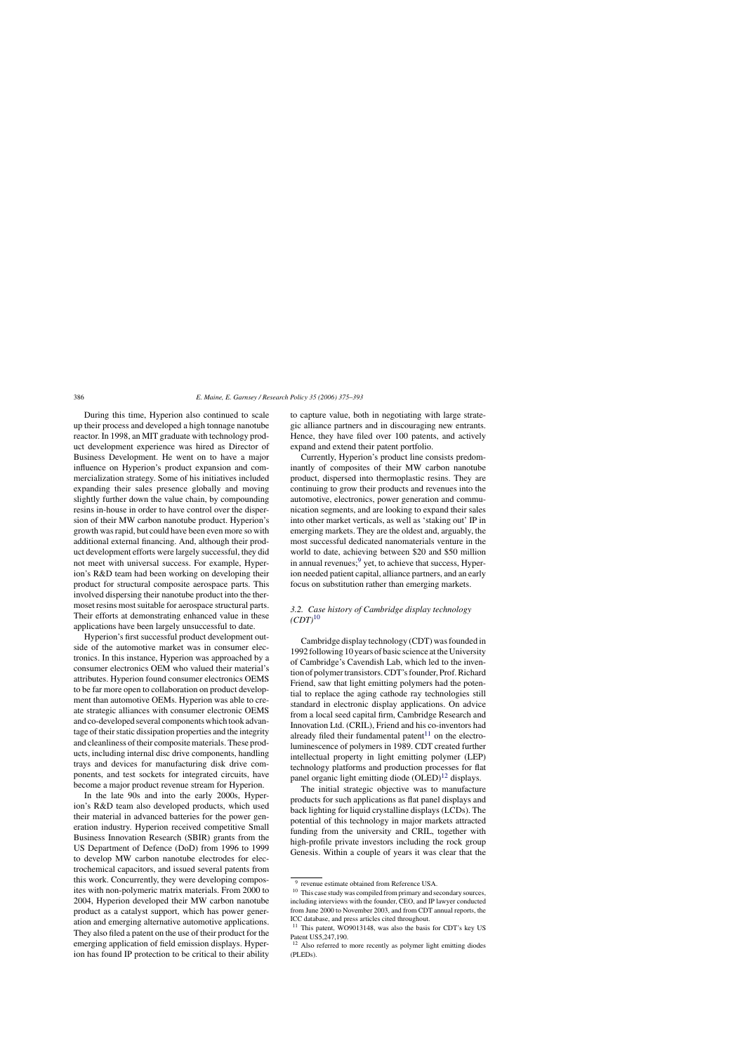During this time, Hyperion also continued to scale up their process and developed a high tonnage nanotube reactor. In 1998, an MIT graduate with technology product development experience was hired as Director of Business Development. He went on to have a major influence on Hyperion's product expansion and commercialization strategy. Some of his initiatives included expanding their sales presence globally and moving slightly further down the value chain, by compounding resins in-house in order to have control over the dispersion of their MW carbon nanotube product. Hyperion's growth was rapid, but could have been even more so with additional external financing. And, although their product development efforts were largely successful, they did not meet with universal success. For example, Hyperion's R&D team had been working on developing their product for structural composite aerospace parts. This involved dispersing their nanotube product into the thermoset resins most suitable for aerospace structural parts. Their efforts at demonstrating enhanced value in these applications have been largely unsuccessful to date.

Hyperion's first successful product development outside of the automotive market was in consumer electronics. In this instance, Hyperion was approached by a consumer electronics OEM who valued their material's attributes. Hyperion found consumer electronics OEMS to be far more open to collaboration on product development than automotive OEMs. Hyperion was able to create strategic alliances with consumer electronic OEMS and co-developed several components which took advantage of their static dissipation properties and the integrity and cleanliness of their composite materials. These products, including internal disc drive components, handling trays and devices for manufacturing disk drive components, and test sockets for integrated circuits, have become a major product revenue stream for Hyperion.

In the late 90s and into the early 2000s, Hyperion's R&D team also developed products, which used their material in advanced batteries for the power generation industry. Hyperion received competitive Small Business Innovation Research (SBIR) grants from the US Department of Defence (DoD) from 1996 to 1999 to develop MW carbon nanotube electrodes for electrochemical capacitors, and issued several patents from this work. Concurrently, they were developing composites with non-polymeric matrix materials. From 2000 to 2004, Hyperion developed their MW carbon nanotube product as a catalyst support, which has power generation and emerging alternative automotive applications. They also filed a patent on the use of their product for the emerging application of field emission displays. Hyperion has found IP protection to be critical to their ability to capture value, both in negotiating with large strategic alliance partners and in discouraging new entrants. Hence, they have filed over 100 patents, and actively expand and extend their patent portfolio.

Currently, Hyperion's product line consists predominantly of composites of their MW carbon nanotube product, dispersed into thermoplastic resins. They are continuing to grow their products and revenues into the automotive, electronics, power generation and communication segments, and are looking to expand their sales into other market verticals, as well as 'staking out' IP in emerging markets. They are the oldest and, arguably, the most successful dedicated nanomaterials venture in the world to date, achieving between \$20 and \$50 million in annual revenues; $9$  yet, to achieve that success, Hyperion needed patient capital, alliance partners, and an early focus on substitution rather than emerging markets.

# *3.2. Case history of Cambridge display technology (CDT)*<sup>10</sup>

Cambridge display technology (CDT) was founded in 1992 following 10 years of basic science at the University of Cambridge's Cavendish Lab, which led to the invention of polymer transistors. CDT's founder, Prof. Richard Friend, saw that light emitting polymers had the potential to replace the aging cathode ray technologies still standard in electronic display applications. On advice from a local seed capital firm, Cambridge Research and Innovation Ltd. (CRIL), Friend and his co-inventors had already filed their fundamental patent $11$  on the electroluminescence of polymers in 1989. CDT created further intellectual property in light emitting polymer (LEP) technology platforms and production processes for flat panel organic light emitting diode  $(OLED)^{12}$  displays.

The initial strategic objective was to manufacture products for such applications as flat panel displays and back lighting for liquid crystalline displays (LCDs). The potential of this technology in major markets attracted funding from the university and CRIL, together with high-profile private investors including the rock group Genesis. Within a couple of years it was clear that the

<sup>9</sup> revenue estimate obtained from Reference USA.

<sup>&</sup>lt;sup>10</sup> This case study was compiled from primary and secondary sources, including interviews with the founder, CEO, and IP lawyer conducted from June 2000 to November 2003, and from CDT annual reports, the ICC database, and press articles cited throughout.

<sup>&</sup>lt;sup>11</sup> This patent, WO9013148, was also the basis for CDT's key US Patent US5,247,190.

 $12$  Also referred to more recently as polymer light emitting diodes (PLEDs).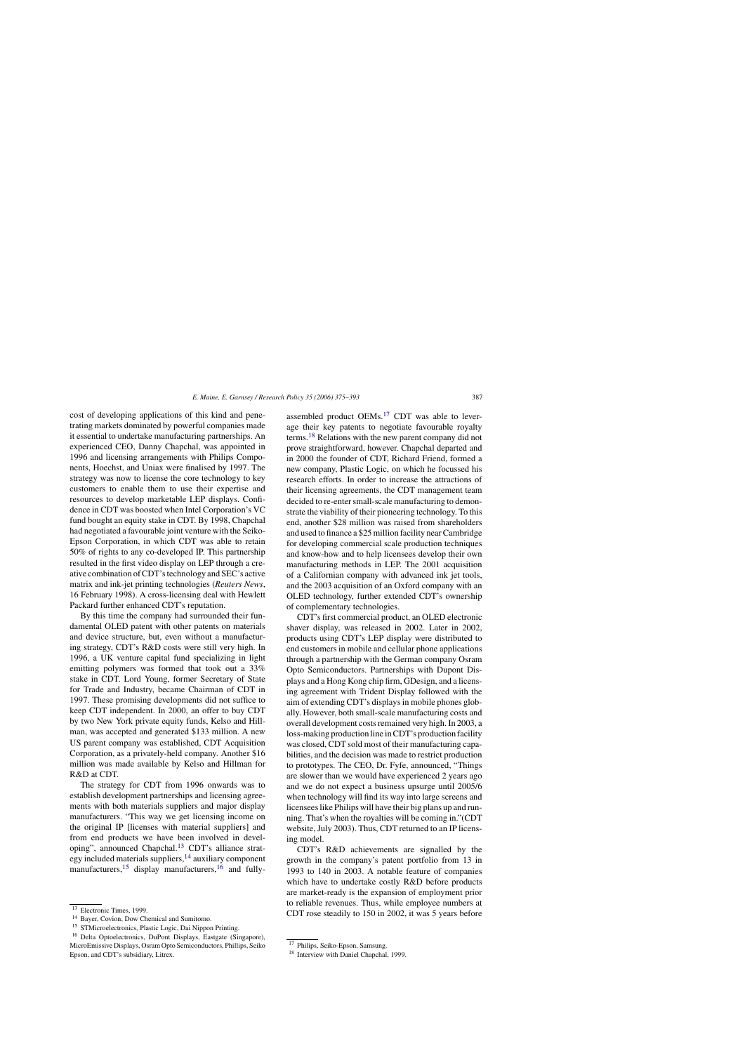cost of developing applications of this kind and penetrating markets dominated by powerful companies made it essential to undertake manufacturing partnerships. An experienced CEO, Danny Chapchal, was appointed in 1996 and licensing arrangements with Philips Components, Hoechst, and Uniax were finalised by 1997. The strategy was now to license the core technology to key customers to enable them to use their expertise and resources to develop marketable LEP displays. Confidence in CDT was boosted when Intel Corporation's VC fund bought an equity stake in CDT. By 1998, Chapchal had negotiated a favourable joint venture with the Seiko-Epson Corporation, in which CDT was able to retain 50% of rights to any co-developed IP. This partnership resulted in the first video display on LEP through a creative combination of CDT's technology and SEC's active matrix and ink-jet printing technologies (*Reuters News*, 16 February 1998). A cross-licensing deal with Hewlett Packard further enhanced CDT's reputation.

By this time the company had surrounded their fundamental OLED patent with other patents on materials and device structure, but, even without a manufacturing strategy, CDT's R&D costs were still very high. In 1996, a UK venture capital fund specializing in light emitting polymers was formed that took out a 33% stake in CDT. Lord Young, former Secretary of State for Trade and Industry, became Chairman of CDT in 1997. These promising developments did not suffice to keep CDT independent. In 2000, an offer to buy CDT by two New York private equity funds, Kelso and Hillman, was accepted and generated \$133 million. A new US parent company was established, CDT Acquisition Corporation, as a privately-held company. Another \$16 million was made available by Kelso and Hillman for R&D at CDT.

The strategy for CDT from 1996 onwards was to establish development partnerships and licensing agreements with both materials suppliers and major display manufacturers. "This way we get licensing income on the original IP [licenses with material suppliers] and from end products we have been involved in developing", announced Chapchal.<sup>13</sup> CDT's alliance strategy included materials suppliers, $14$  auxiliary component manufacturers,<sup>15</sup> display manufacturers,<sup>16</sup> and fullyassembled product OEMs.<sup>17</sup> CDT was able to leverage their key patents to negotiate favourable royalty terms.<sup>18</sup> Relations with the new parent company did not prove straightforward, however. Chapchal departed and in 2000 the founder of CDT, Richard Friend, formed a new company, Plastic Logic, on which he focussed his research efforts. In order to increase the attractions of their licensing agreements, the CDT management team decided to re-enter small-scale manufacturing to demonstrate the viability of their pioneering technology. To this end, another \$28 million was raised from shareholders and used to finance a \$25 million facility near Cambridge for developing commercial scale production techniques and know-how and to help licensees develop their own manufacturing methods in LEP. The 2001 acquisition of a Californian company with advanced ink jet tools, and the 2003 acquisition of an Oxford company with an OLED technology, further extended CDT's ownership of complementary technologies.

CDT's first commercial product, an OLED electronic shaver display, was released in 2002. Later in 2002, products using CDT's LEP display were distributed to end customers in mobile and cellular phone applications through a partnership with the German company Osram Opto Semiconductors. Partnerships with Dupont Displays and a Hong Kong chip firm, GDesign, and a licensing agreement with Trident Display followed with the aim of extending CDT's displays in mobile phones globally. However, both small-scale manufacturing costs and overall development costs remained very high. In 2003, a loss-making production line in CDT's production facility was closed, CDT sold most of their manufacturing capabilities, and the decision was made to restrict production to prototypes. The CEO, Dr. Fyfe, announced, "Things are slower than we would have experienced 2 years ago and we do not expect a business upsurge until 2005/6 when technology will find its way into large screens and licensees like Philips will have their big plans up and running. That's when the royalties will be coming in."(CDT website, July 2003). Thus, CDT returned to an IP licensing model.

CDT's R&D achievements are signalled by the growth in the company's patent portfolio from 13 in 1993 to 140 in 2003. A notable feature of companies which have to undertake costly R&D before products are market-ready is the expansion of employment prior to reliable revenues. Thus, while employee numbers at CDT rose steadily to 150 in 2002, it was 5 years before

<sup>&</sup>lt;sup>13</sup> Electronic Times, 1999.

<sup>&</sup>lt;sup>14</sup> Bayer, Covion, Dow Chemical and Sumitomo.

<sup>15</sup> STMicroelectronics, Plastic Logic, Dai Nippon Printing.

<sup>16</sup> Delta Optoelectronics, DuPont Displays, Eastgate (Singapore), MicroEmissive Displays, Osram Opto Semiconductors, Phillips, Seiko Epson, and CDT's subsidiary, Litrex.

<sup>&</sup>lt;sup>17</sup> Philips, Seiko-Epson, Samsung.

<sup>18</sup> Interview with Daniel Chapchal, 1999.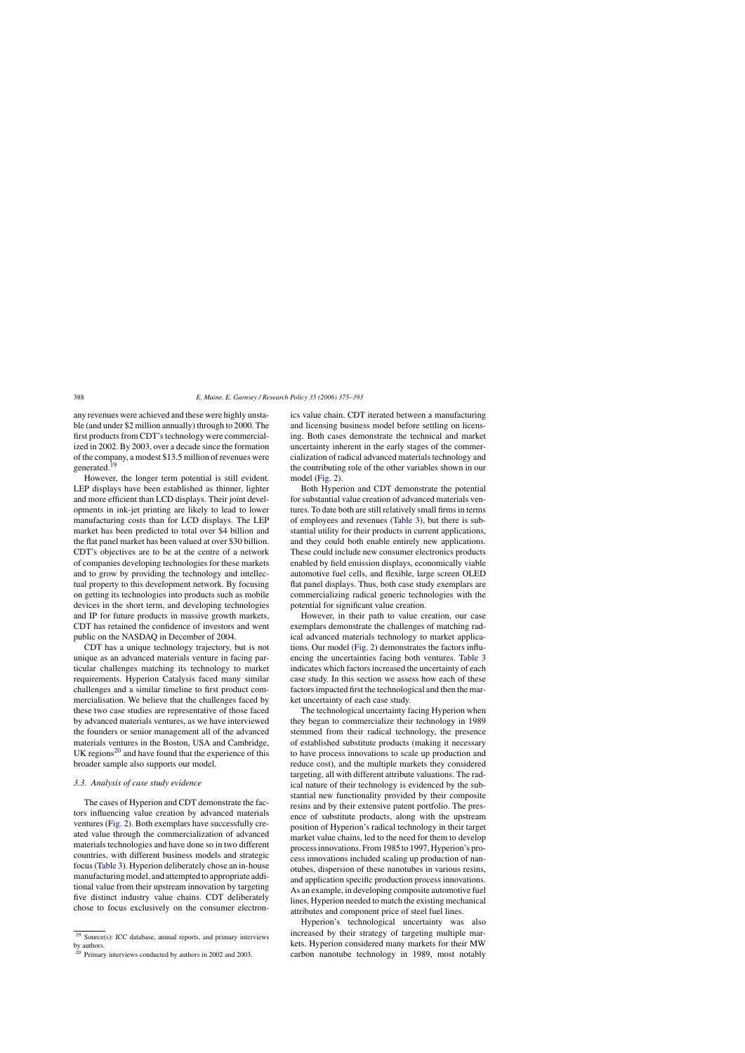<span id="page-13-0"></span>any revenues were achieved and these were highly unstable (and under \$2 million annually) through to 2000. The first products from CDT's technology were commercialized in 2002. By 2003, over a decade since the formation of the company, a modest \$13.5 million of revenues were generated.<sup>19</sup>

However, the longer term potential is still evident. LEP displays have been established as thinner, lighter and more efficient than LCD displays. Their joint developments in ink-jet printing are likely to lead to lower manufacturing costs than for LCD displays. The LEP market has been predicted to total over \$4 billion and the flat panel market has been valued at over \$30 billion. CDT's objectives are to be at the centre of a network of companies developing technologies for these markets and to grow by providing the technology and intellectual property to this development network. By focusing on getting its technologies into products such as mobile devices in the short term, and developing technologies and IP for future products in massive growth markets, CDT has retained the confidence of investors and went public on the NASDAQ in December of 2004.

CDT has a unique technology trajectory, but is not unique as an advanced materials venture in facing particular challenges matching its technology to market requirements. Hyperion Catalysis faced many similar challenges and a similar timeline to first product commercialisation. We believe that the challenges faced by these two case studies are representative of those faced by advanced materials ventures, as we have interviewed the founders or senior management all of the advanced materials ventures in the Boston, USA and Cambridge, UK regions $^{20}$  and have found that the experience of this broader sample also supports our model.

#### *3.3. Analysis of case study evidence*

The cases of Hyperion and CDT demonstrate the factors influencing value creation by advanced materials ventures [\(Fig. 2\).](#page-5-0) Both exemplars have successfully created value through the commercialization of advanced materials technologies and have done so in two different countries, with different business models and strategic focus ([Table 3\).](#page-9-0) Hyperion deliberately chose an in-house manufacturing model, and attempted to appropriate additional value from their upstream innovation by targeting five distinct industry value chains. CDT deliberately chose to focus exclusively on the consumer electronics value chain. CDT iterated between a manufacturing and licensing business model before settling on licensing. Both cases demonstrate the technical and market uncertainty inherent in the early stages of the commercialization of radical advanced materials technology and the contributing role of the other variables shown in our model [\(Fig. 2\).](#page-5-0)

Both Hyperion and CDT demonstrate the potential for substantial value creation of advanced materials ventures. To date both are still relatively small firms in terms of employees and revenues ([Table 3\),](#page-9-0) but there is substantial utility for their products in current applications, and they could both enable entirely new applications. These could include new consumer electronics products enabled by field emission displays, economically viable automotive fuel cells, and flexible, large screen OLED flat panel displays. Thus, both case study exemplars are commercializing radical generic technologies with the potential for significant value creation.

However, in their path to value creation, our case exemplars demonstrate the challenges of matching radical advanced materials technology to market applications. Our model ([Fig. 2\)](#page-5-0) demonstrates the factors influencing the uncertainties facing both ventures. [Table 3](#page-9-0) indicates which factors increased the uncertainty of each case study. In this section we assess how each of these factors impacted first the technological and then the market uncertainty of each case study.

The technological uncertainty facing Hyperion when they began to commercialize their technology in 1989 stemmed from their radical technology, the presence of established substitute products (making it necessary to have process innovations to scale up production and reduce cost), and the multiple markets they considered targeting, all with different attribute valuations. The radical nature of their technology is evidenced by the substantial new functionality provided by their composite resins and by their extensive patent portfolio. The presence of substitute products, along with the upstream position of Hyperion's radical technology in their target market value chains, led to the need for them to develop process innovations. From 1985 to 1997, Hyperion's process innovations included scaling up production of nanotubes, dispersion of these nanotubes in various resins, and application specific production process innovations. As an example, in developing composite automotive fuel lines, Hyperion needed to match the existing mechanical attributes and component price of steel fuel lines.

Hyperion's technological uncertainty was also increased by their strategy of targeting multiple markets. Hyperion considered many markets for their MW carbon nanotube technology in 1989, most notably

<sup>19</sup> Source(s): ICC database, annual reports, and primary interviews by authors.

<sup>20</sup> Primary interviews conducted by authors in 2002 and 2003.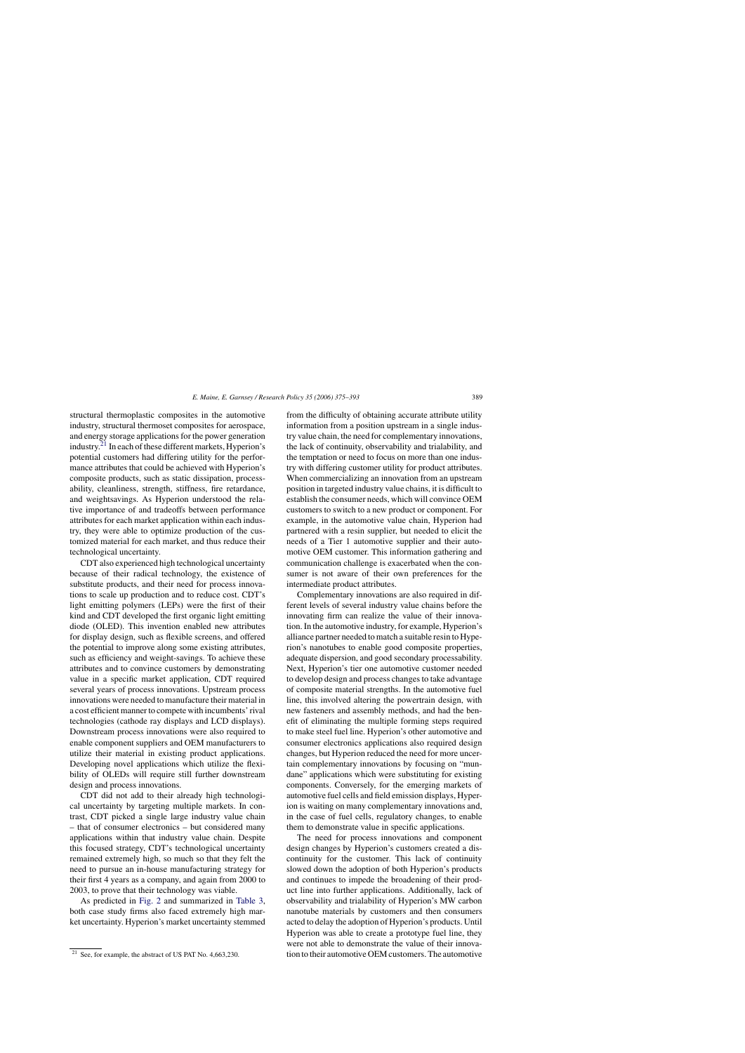structural thermoplastic composites in the automotive industry, structural thermoset composites for aerospace, and energy storage applications for the power generation industry.<sup>21</sup> In each of these different markets, Hyperion's potential customers had differing utility for the performance attributes that could be achieved with Hyperion's composite products, such as static dissipation, processability, cleanliness, strength, stiffness, fire retardance, and weightsavings. As Hyperion understood the relative importance of and tradeoffs between performance attributes for each market application within each industry, they were able to optimize production of the customized material for each market, and thus reduce their technological uncertainty.

CDT also experienced high technological uncertainty because of their radical technology, the existence of substitute products, and their need for process innovations to scale up production and to reduce cost. CDT's light emitting polymers (LEPs) were the first of their kind and CDT developed the first organic light emitting diode (OLED). This invention enabled new attributes for display design, such as flexible screens, and offered the potential to improve along some existing attributes, such as efficiency and weight-savings. To achieve these attributes and to convince customers by demonstrating value in a specific market application, CDT required several years of process innovations. Upstream process innovations were needed to manufacture their material in a cost efficient manner to compete with incumbents' rival technologies (cathode ray displays and LCD displays). Downstream process innovations were also required to enable component suppliers and OEM manufacturers to utilize their material in existing product applications. Developing novel applications which utilize the flexibility of OLEDs will require still further downstream design and process innovations.

CDT did not add to their already high technological uncertainty by targeting multiple markets. In contrast, CDT picked a single large industry value chain – that of consumer electronics – but considered many applications within that industry value chain. Despite this focused strategy, CDT's technological uncertainty remained extremely high, so much so that they felt the need to pursue an in-house manufacturing strategy for their first 4 years as a company, and again from 2000 to 2003, to prove that their technology was viable.

As predicted in [Fig. 2](#page-5-0) and summarized in [Table 3,](#page-9-0) both case study firms also faced extremely high market uncertainty. Hyperion's market uncertainty stemmed from the difficulty of obtaining accurate attribute utility information from a position upstream in a single industry value chain, the need for complementary innovations, the lack of continuity, observability and trialability, and the temptation or need to focus on more than one industry with differing customer utility for product attributes. When commercializing an innovation from an upstream position in targeted industry value chains, it is difficult to establish the consumer needs, which will convince OEM customers to switch to a new product or component. For example, in the automotive value chain, Hyperion had partnered with a resin supplier, but needed to elicit the needs of a Tier 1 automotive supplier and their automotive OEM customer. This information gathering and communication challenge is exacerbated when the consumer is not aware of their own preferences for the intermediate product attributes.

Complementary innovations are also required in different levels of several industry value chains before the innovating firm can realize the value of their innovation. In the automotive industry, for example, Hyperion's alliance partner needed to match a suitable resin to Hyperion's nanotubes to enable good composite properties, adequate dispersion, and good secondary processability. Next, Hyperion's tier one automotive customer needed to develop design and process changes to take advantage of composite material strengths. In the automotive fuel line, this involved altering the powertrain design, with new fasteners and assembly methods, and had the benefit of eliminating the multiple forming steps required to make steel fuel line. Hyperion's other automotive and consumer electronics applications also required design changes, but Hyperion reduced the need for more uncertain complementary innovations by focusing on "mundane" applications which were substituting for existing components. Conversely, for the emerging markets of automotive fuel cells and field emission displays, Hyperion is waiting on many complementary innovations and, in the case of fuel cells, regulatory changes, to enable them to demonstrate value in specific applications.

The need for process innovations and component design changes by Hyperion's customers created a discontinuity for the customer. This lack of continuity slowed down the adoption of both Hyperion's products and continues to impede the broadening of their product line into further applications. Additionally, lack of observability and trialability of Hyperion's MW carbon nanotube materials by customers and then consumers acted to delay the adoption of Hyperion's products. Until Hyperion was able to create a prototype fuel line, they were not able to demonstrate the value of their innovation to their automotive OEM customers. The automotive

<sup>21</sup> See, for example, the abstract of US PAT No. 4,663,230.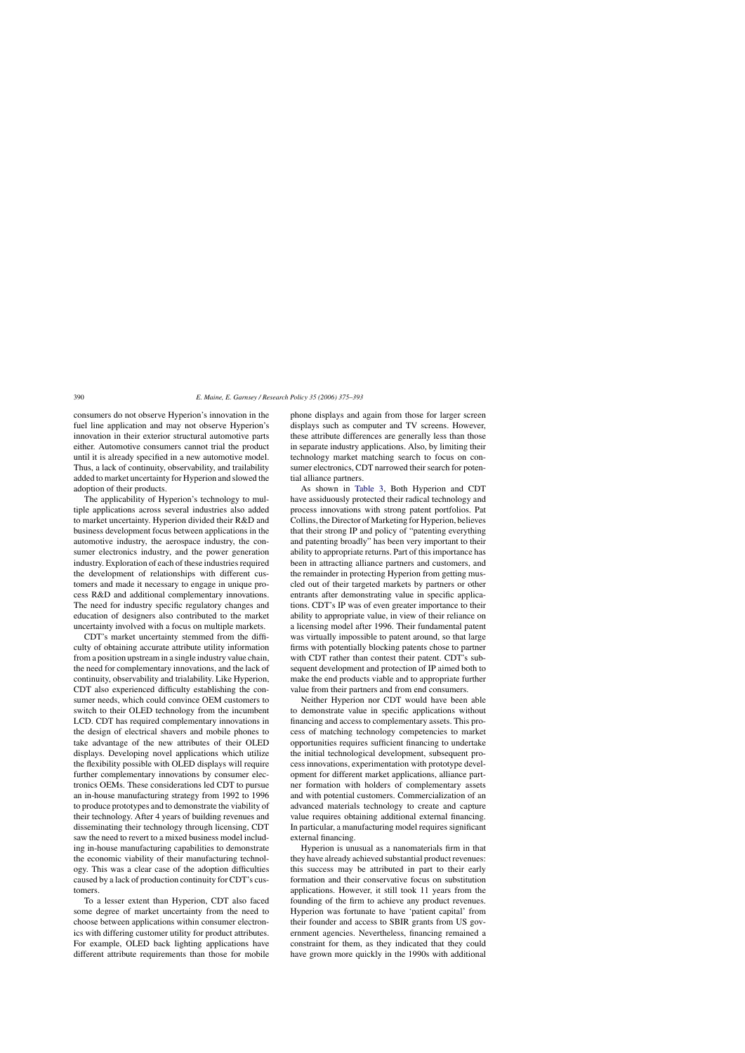consumers do not observe Hyperion's innovation in the fuel line application and may not observe Hyperion's innovation in their exterior structural automotive parts either. Automotive consumers cannot trial the product until it is already specified in a new automotive model. Thus, a lack of continuity, observability, and trailability added to market uncertainty for Hyperion and slowed the adoption of their products.

The applicability of Hyperion's technology to multiple applications across several industries also added to market uncertainty. Hyperion divided their R&D and business development focus between applications in the automotive industry, the aerospace industry, the consumer electronics industry, and the power generation industry. Exploration of each of these industries required the development of relationships with different customers and made it necessary to engage in unique process R&D and additional complementary innovations. The need for industry specific regulatory changes and education of designers also contributed to the market uncertainty involved with a focus on multiple markets.

CDT's market uncertainty stemmed from the difficulty of obtaining accurate attribute utility information from a position upstream in a single industry value chain, the need for complementary innovations, and the lack of continuity, observability and trialability. Like Hyperion, CDT also experienced difficulty establishing the consumer needs, which could convince OEM customers to switch to their OLED technology from the incumbent LCD. CDT has required complementary innovations in the design of electrical shavers and mobile phones to take advantage of the new attributes of their OLED displays. Developing novel applications which utilize the flexibility possible with OLED displays will require further complementary innovations by consumer electronics OEMs. These considerations led CDT to pursue an in-house manufacturing strategy from 1992 to 1996 to produce prototypes and to demonstrate the viability of their technology. After 4 years of building revenues and disseminating their technology through licensing, CDT saw the need to revert to a mixed business model including in-house manufacturing capabilities to demonstrate the economic viability of their manufacturing technology. This was a clear case of the adoption difficulties caused by a lack of production continuity for CDT's customers.

To a lesser extent than Hyperion, CDT also faced some degree of market uncertainty from the need to choose between applications within consumer electronics with differing customer utility for product attributes. For example, OLED back lighting applications have different attribute requirements than those for mobile phone displays and again from those for larger screen displays such as computer and TV screens. However, these attribute differences are generally less than those in separate industry applications. Also, by limiting their technology market matching search to focus on consumer electronics, CDT narrowed their search for potential alliance partners.

As shown in [Table 3,](#page-9-0) Both Hyperion and CDT have assiduously protected their radical technology and process innovations with strong patent portfolios. Pat Collins, the Director of Marketing for Hyperion, believes that their strong IP and policy of "patenting everything and patenting broadly" has been very important to their ability to appropriate returns. Part of this importance has been in attracting alliance partners and customers, and the remainder in protecting Hyperion from getting muscled out of their targeted markets by partners or other entrants after demonstrating value in specific applications. CDT's IP was of even greater importance to their ability to appropriate value, in view of their reliance on a licensing model after 1996. Their fundamental patent was virtually impossible to patent around, so that large firms with potentially blocking patents chose to partner with CDT rather than contest their patent. CDT's subsequent development and protection of IP aimed both to make the end products viable and to appropriate further value from their partners and from end consumers.

Neither Hyperion nor CDT would have been able to demonstrate value in specific applications without financing and access to complementary assets. This process of matching technology competencies to market opportunities requires sufficient financing to undertake the initial technological development, subsequent process innovations, experimentation with prototype development for different market applications, alliance partner formation with holders of complementary assets and with potential customers. Commercialization of an advanced materials technology to create and capture value requires obtaining additional external financing. In particular, a manufacturing model requires significant external financing.

Hyperion is unusual as a nanomaterials firm in that they have already achieved substantial product revenues: this success may be attributed in part to their early formation and their conservative focus on substitution applications. However, it still took 11 years from the founding of the firm to achieve any product revenues. Hyperion was fortunate to have 'patient capital' from their founder and access to SBIR grants from US government agencies. Nevertheless, financing remained a constraint for them, as they indicated that they could have grown more quickly in the 1990s with additional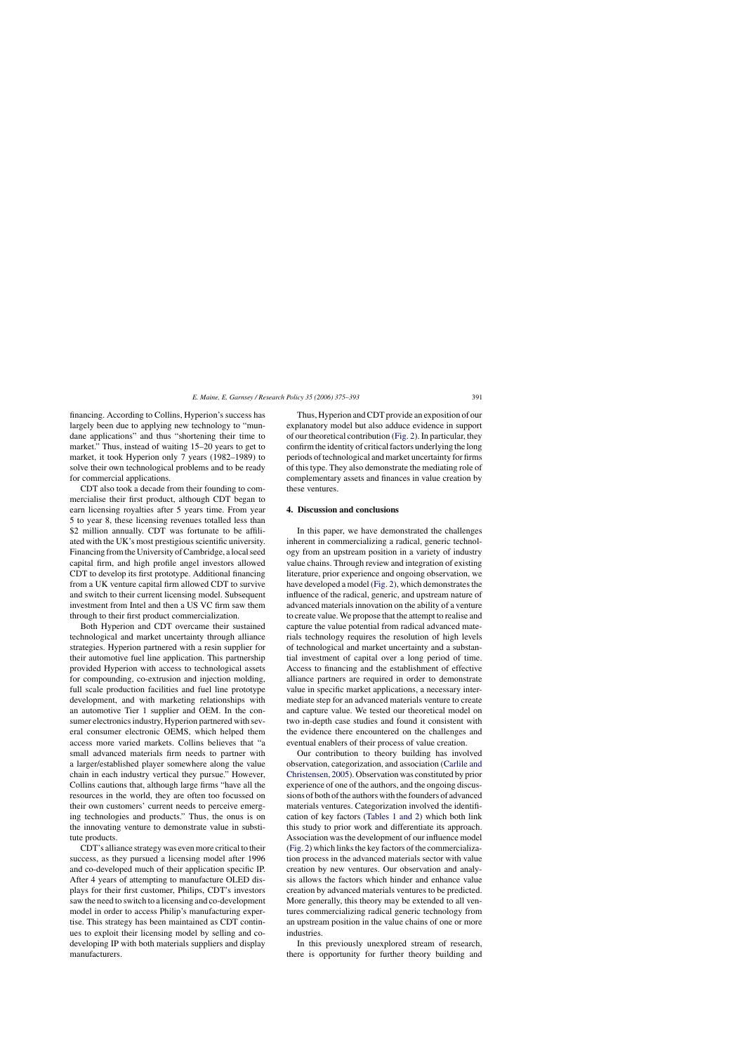financing. According to Collins, Hyperion's success has largely been due to applying new technology to "mundane applications" and thus "shortening their time to market." Thus, instead of waiting 15–20 years to get to market, it took Hyperion only 7 years (1982–1989) to solve their own technological problems and to be ready for commercial applications.

CDT also took a decade from their founding to commercialise their first product, although CDT began to earn licensing royalties after 5 years time. From year 5 to year 8, these licensing revenues totalled less than \$2 million annually. CDT was fortunate to be affiliated with the UK's most prestigious scientific university. Financing from the University of Cambridge, a local seed capital firm, and high profile angel investors allowed CDT to develop its first prototype. Additional financing from a UK venture capital firm allowed CDT to survive and switch to their current licensing model. Subsequent investment from Intel and then a US VC firm saw them through to their first product commercialization.

Both Hyperion and CDT overcame their sustained technological and market uncertainty through alliance strategies. Hyperion partnered with a resin supplier for their automotive fuel line application. This partnership provided Hyperion with access to technological assets for compounding, co-extrusion and injection molding, full scale production facilities and fuel line prototype development, and with marketing relationships with an automotive Tier 1 supplier and OEM. In the consumer electronics industry, Hyperion partnered with several consumer electronic OEMS, which helped them access more varied markets. Collins believes that "a small advanced materials firm needs to partner with a larger/established player somewhere along the value chain in each industry vertical they pursue." However, Collins cautions that, although large firms "have all the resources in the world, they are often too focussed on their own customers' current needs to perceive emerging technologies and products." Thus, the onus is on the innovating venture to demonstrate value in substitute products.

CDT's alliance strategy was even more critical to their success, as they pursued a licensing model after 1996 and co-developed much of their application specific IP. After 4 years of attempting to manufacture OLED displays for their first customer, Philips, CDT's investors saw the need to switch to a licensing and co-development model in order to access Philip's manufacturing expertise. This strategy has been maintained as CDT continues to exploit their licensing model by selling and codeveloping IP with both materials suppliers and display manufacturers.

Thus, Hyperion and CDT provide an exposition of our explanatory model but also adduce evidence in support of our theoretical contribution [\(Fig. 2\).](#page-5-0) In particular, they confirm the identity of critical factors underlying the long periods of technological and market uncertainty for firms of this type. They also demonstrate the mediating role of complementary assets and finances in value creation by these ventures.

#### **4. Discussion and conclusions**

In this paper, we have demonstrated the challenges inherent in commercializing a radical, generic technology from an upstream position in a variety of industry value chains. Through review and integration of existing literature, prior experience and ongoing observation, we have developed a model ([Fig. 2\),](#page-5-0) which demonstrates the influence of the radical, generic, and upstream nature of advanced materials innovation on the ability of a venture to create value. We propose that the attempt to realise and capture the value potential from radical advanced materials technology requires the resolution of high levels of technological and market uncertainty and a substantial investment of capital over a long period of time. Access to financing and the establishment of effective alliance partners are required in order to demonstrate value in specific market applications, a necessary intermediate step for an advanced materials venture to create and capture value. We tested our theoretical model on two in-depth case studies and found it consistent with the evidence there encountered on the challenges and eventual enablers of their process of value creation.

Our contribution to theory building has involved observation, categorization, and association ([Carlile and](#page-17-0) [Christensen, 2005\).](#page-17-0) Observation was constituted by prior experience of one of the authors, and the ongoing discussions of both of the authors with the founders of advanced materials ventures. Categorization involved the identification of key factors [\(Tables 1 and 2\)](#page-2-0) which both link this study to prior work and differentiate its approach. Association was the development of our influence model [\(Fig. 2\) w](#page-5-0)hich links the key factors of the commercialization process in the advanced materials sector with value creation by new ventures. Our observation and analysis allows the factors which hinder and enhance value creation by advanced materials ventures to be predicted. More generally, this theory may be extended to all ventures commercializing radical generic technology from an upstream position in the value chains of one or more industries.

In this previously unexplored stream of research, there is opportunity for further theory building and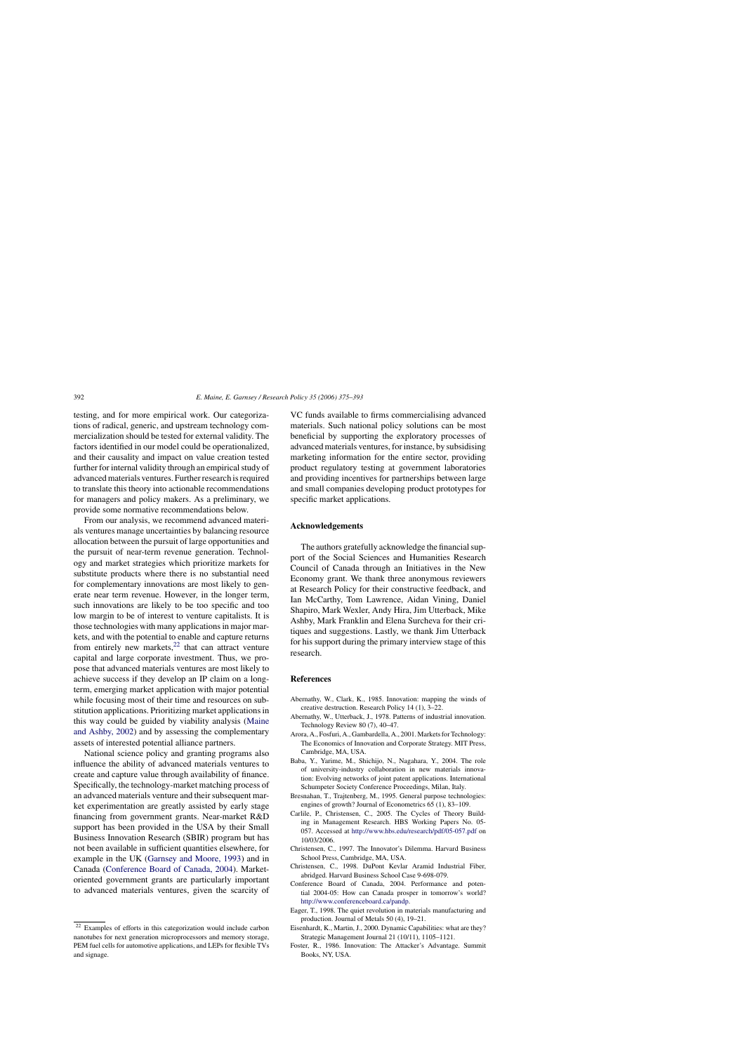<span id="page-17-0"></span>testing, and for more empirical work. Our categorizations of radical, generic, and upstream technology commercialization should be tested for external validity. The factors identified in our model could be operationalized, and their causality and impact on value creation tested further for internal validity through an empirical study of advanced materials ventures. Further research is required to translate this theory into actionable recommendations for managers and policy makers. As a preliminary, we provide some normative recommendations below.

From our analysis, we recommend advanced materials ventures manage uncertainties by balancing resource allocation between the pursuit of large opportunities and the pursuit of near-term revenue generation. Technology and market strategies which prioritize markets for substitute products where there is no substantial need for complementary innovations are most likely to generate near term revenue. However, in the longer term, such innovations are likely to be too specific and too low margin to be of interest to venture capitalists. It is those technologies with many applications in major markets, and with the potential to enable and capture returns from entirely new markets, $22$  that can attract venture capital and large corporate investment. Thus, we propose that advanced materials ventures are most likely to achieve success if they develop an IP claim on a longterm, emerging market application with major potential while focusing most of their time and resources on substitution applications. Prioritizing market applications in this way could be guided by viability analysis ([Maine](#page-18-0) [and Ashby, 2002\)](#page-18-0) and by assessing the complementary assets of interested potential alliance partners.

National science policy and granting programs also influence the ability of advanced materials ventures to create and capture value through availability of finance. Specifically, the technology-market matching process of an advanced materials venture and their subsequent market experimentation are greatly assisted by early stage financing from government grants. Near-market R&D support has been provided in the USA by their Small Business Innovation Research (SBIR) program but has not been available in sufficient quantities elsewhere, for example in the UK ([Garnsey and Moore, 1993\)](#page-18-0) and in Canada (Conference Board of Canada, 2004). Marketoriented government grants are particularly important to advanced materials ventures, given the scarcity of VC funds available to firms commercialising advanced materials. Such national policy solutions can be most beneficial by supporting the exploratory processes of advanced materials ventures, for instance, by subsidising marketing information for the entire sector, providing product regulatory testing at government laboratories and providing incentives for partnerships between large and small companies developing product prototypes for specific market applications.

# **Acknowledgements**

The authors gratefully acknowledge the financial support of the Social Sciences and Humanities Research Council of Canada through an Initiatives in the New Economy grant. We thank three anonymous reviewers at Research Policy for their constructive feedback, and Ian McCarthy, Tom Lawrence, Aidan Vining, Daniel Shapiro, Mark Wexler, Andy Hira, Jim Utterback, Mike Ashby, Mark Franklin and Elena Surcheva for their critiques and suggestions. Lastly, we thank Jim Utterback for his support during the primary interview stage of this research.

### **References**

- Abernathy, W., Clark, K., 1985. Innovation: mapping the winds of creative destruction. Research Policy 14 (1), 3–22.
- Abernathy, W., Utterback, J., 1978. Patterns of industrial innovation. Technology Review 80 (7), 40–47.
- Arora, A., Fosfuri, A., Gambardella, A., 2001. Markets for Technology: The Economics of Innovation and Corporate Strategy. MIT Press, Cambridge, MA, USA.
- Baba, Y., Yarime, M., Shichijo, N., Nagahara, Y., 2004. The role of university-industry collaboration in new materials innovation: Evolving networks of joint patent applications. International Schumpeter Society Conference Proceedings, Milan, Italy.
- Bresnahan, T., Trajtenberg, M., 1995. General purpose technologies: engines of growth? Journal of Econometrics 65 (1), 83–109.
- Carlile, P., Christensen, C., 2005. The Cycles of Theory Building in Management Research. HBS Working Papers No. 05- 057. Accessed at [http://www.hbs.edu/research/pdf/05-057.pdf](http://www.hbs.edu/research/pdf/05-057.pdfdf) on 10/03/2006.
- Christensen, C., 1997. The Innovator's Dilemma. Harvard Business School Press, Cambridge, MA, USA.
- Christensen, C., 1998. DuPont Kevlar Aramid Industrial Fiber, abridged. Harvard Business School Case 9-698-079.
- Conference Board of Canada, 2004. Performance and potential 2004-05: How can Canada prosper in tomorrow's world? [http://www.conferenceboard.ca/pandp.](http://www.conferenceboard.ca/pandp)
- Eager, T., 1998. The quiet revolution in materials manufacturing and production. Journal of Metals 50 (4), 19–21.
- Eisenhardt, K., Martin, J., 2000. Dynamic Capabilities: what are they? Strategic Management Journal 21 (10/11), 1105–1121.
- Foster, R., 1986. Innovation: The Attacker's Advantage. Summit Books, NY, USA.

<sup>22</sup> Examples of efforts in this categorization would include carbon nanotubes for next generation microprocessors and memory storage, PEM fuel cells for automotive applications, and LEPs for flexible TVs and signage.